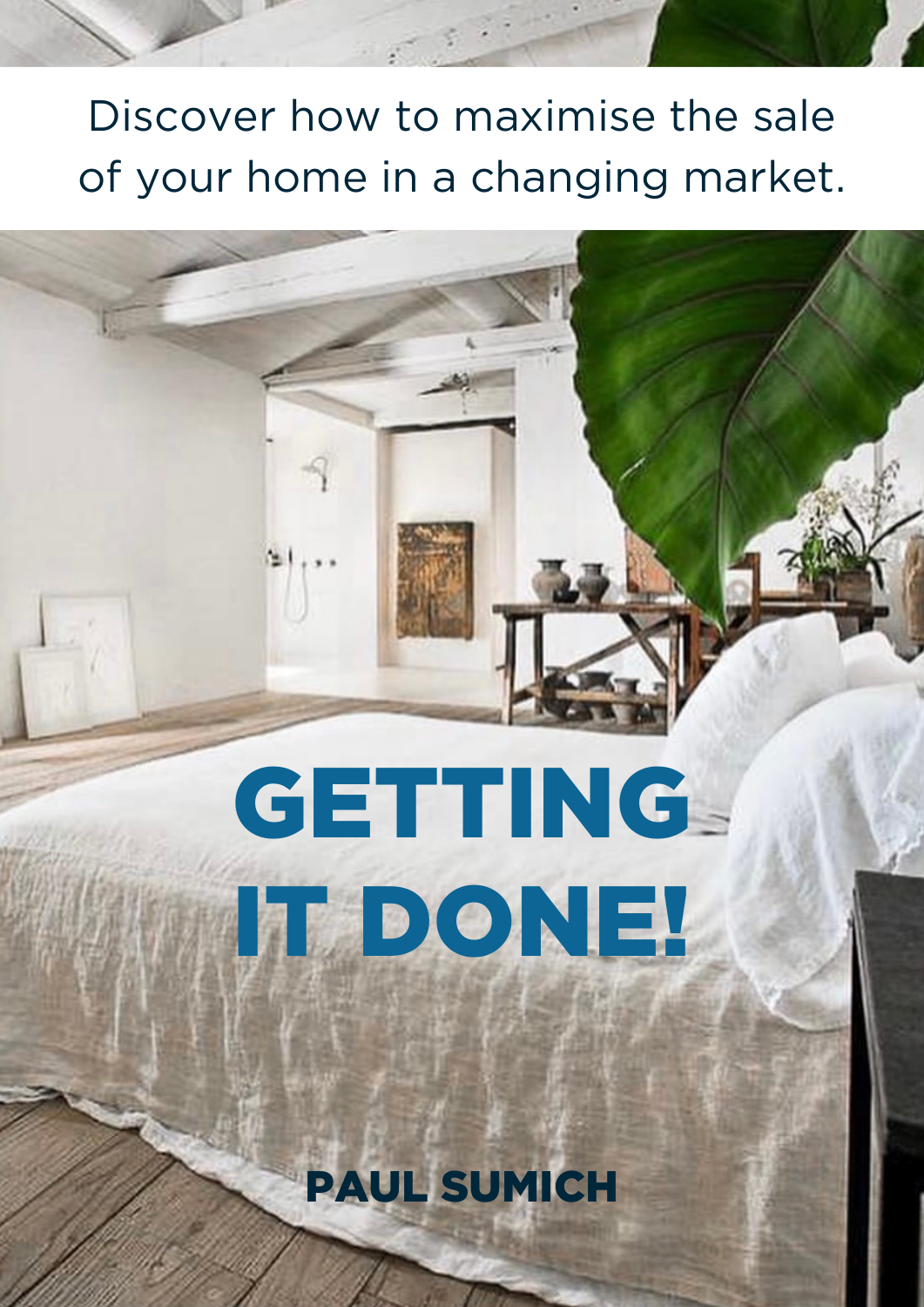# Discover how to maximise the sale of your home in a changing market.

# **GETTING** IT DONE!

PAUL SUMICH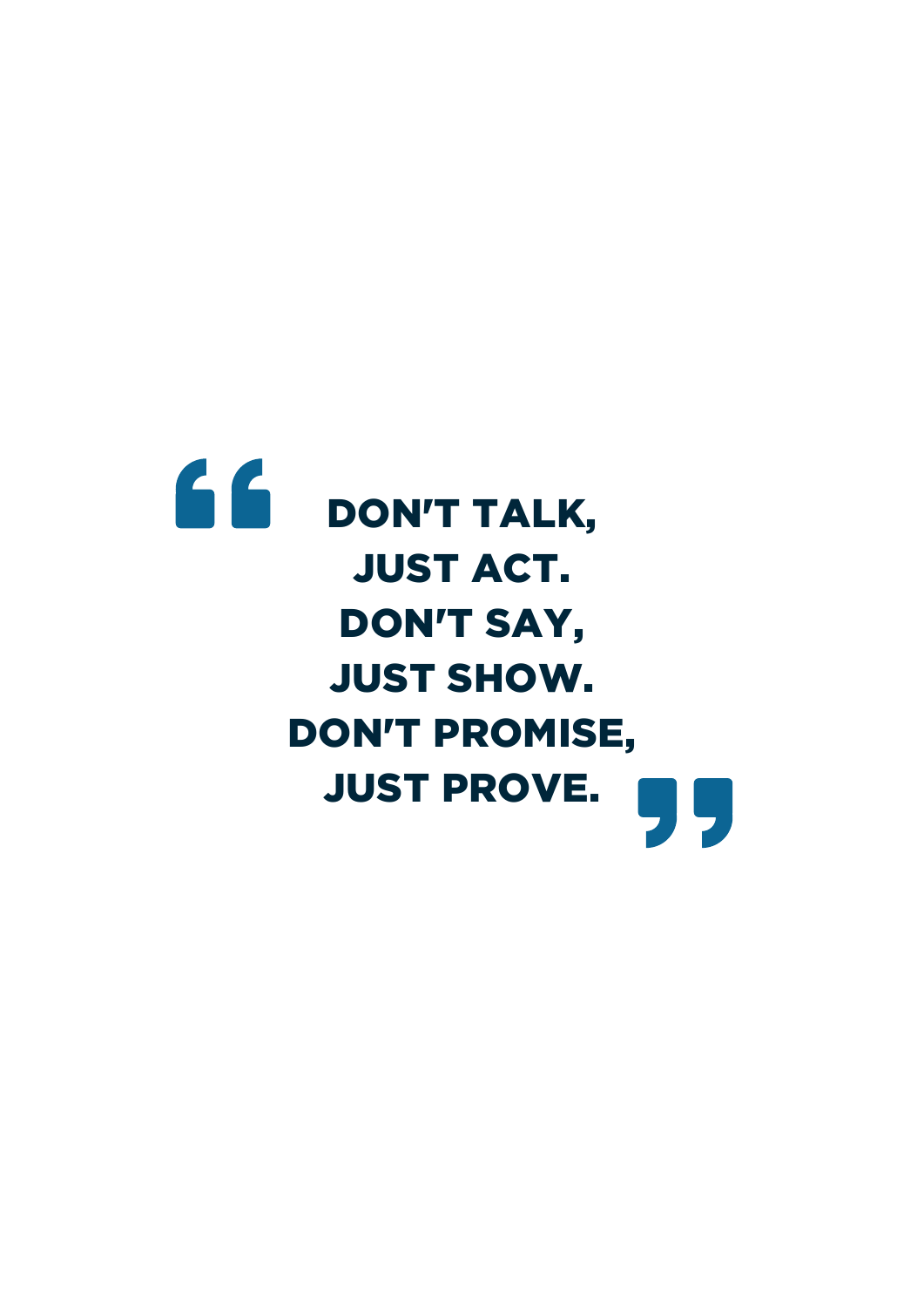# 66 DON'T TALK, JUST ACT. DON'T SAY, JUST SHOW. DON'T PROMISE, JUST PROVE.IĻ,  $\overline{\phantom{a}}$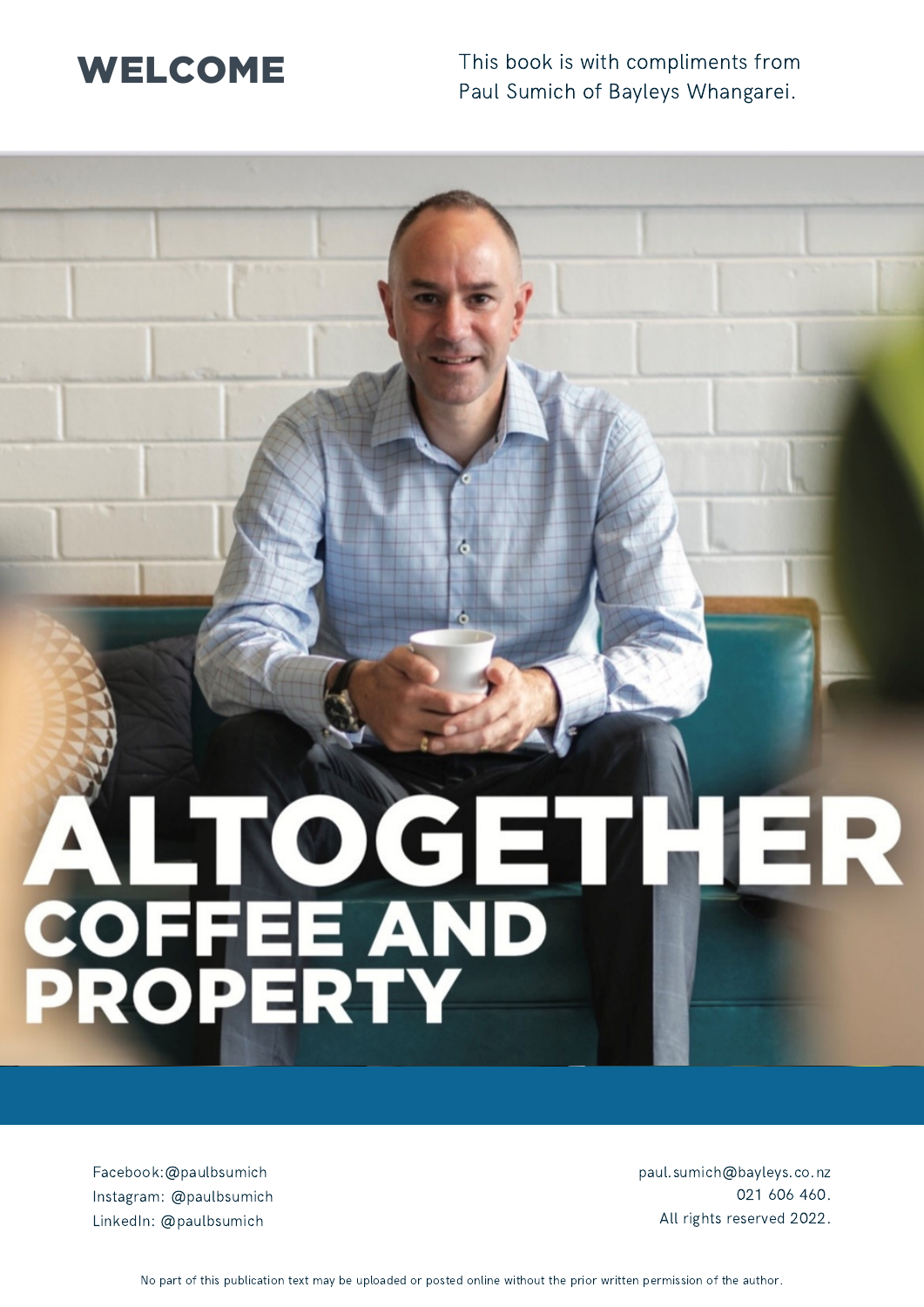## W ELCOME

This book is with compliments from Paul Sumich of Bayleys Whangarei.

# ALTOGE<br>COFFEE AND

Facebook:@paulbsumich Instagram: @paulbsumich LinkedIn: @paulbsumich

paul.sumich@bayleys.co.nz 021 606 460. All rights reserved 2022.

No part of this publication text may be uploaded or posted online without the prior written permission of the author.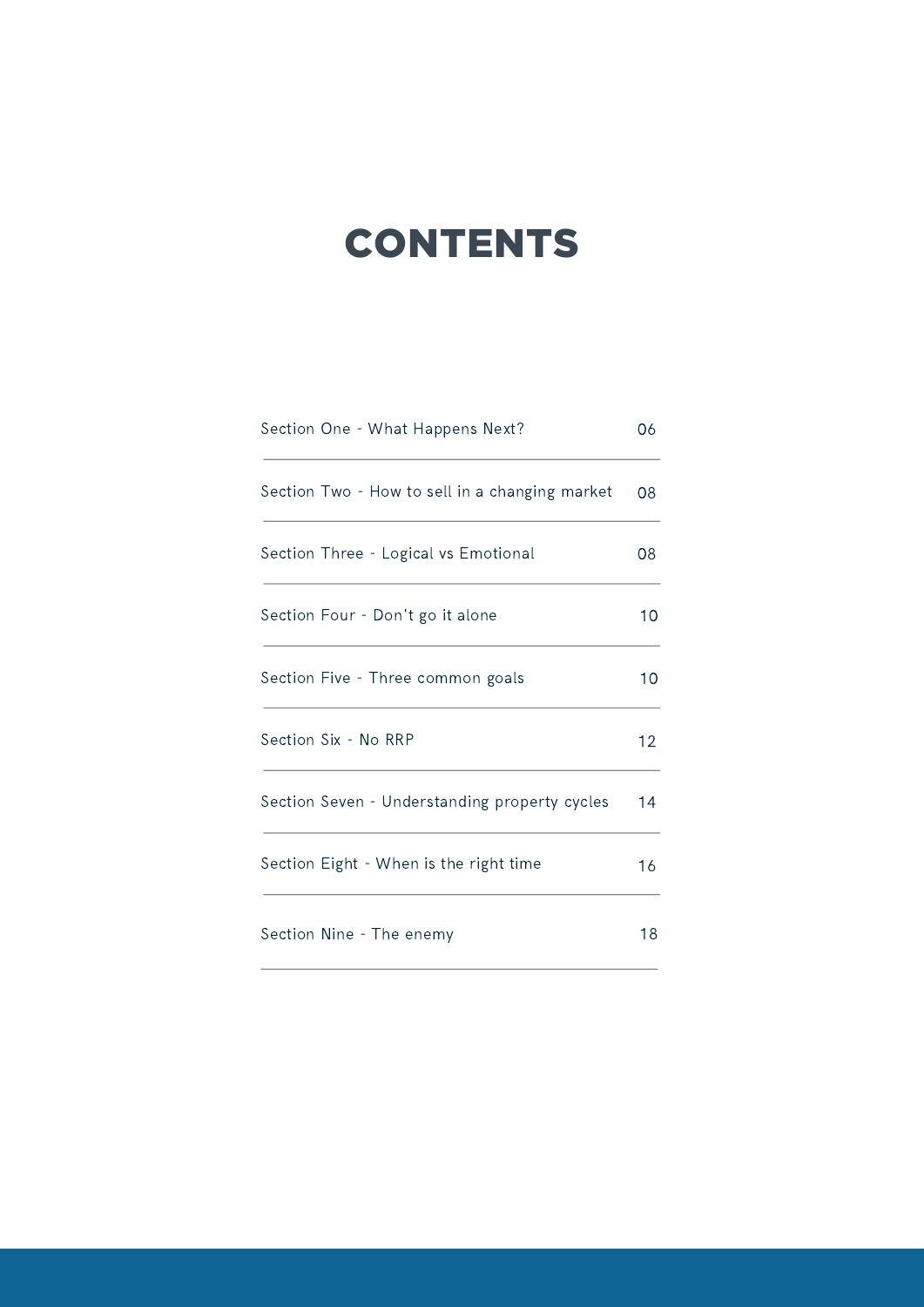# **CONTENTS**

| Section One - What Happens Next?               | 06 |
|------------------------------------------------|----|
| Section Two - How to sell in a changing market | 08 |
| Section Three - Logical vs Emotional           | 08 |
| Section Four - Don't go it alone               | 10 |
| Section Five - Three common goals              | 10 |
| Section Six - No RRP                           | 12 |
| Section Seven - Understanding property cycles  | 14 |
| Section Eight - When is the right time         | 16 |
| Section Nine - The enemy                       | 18 |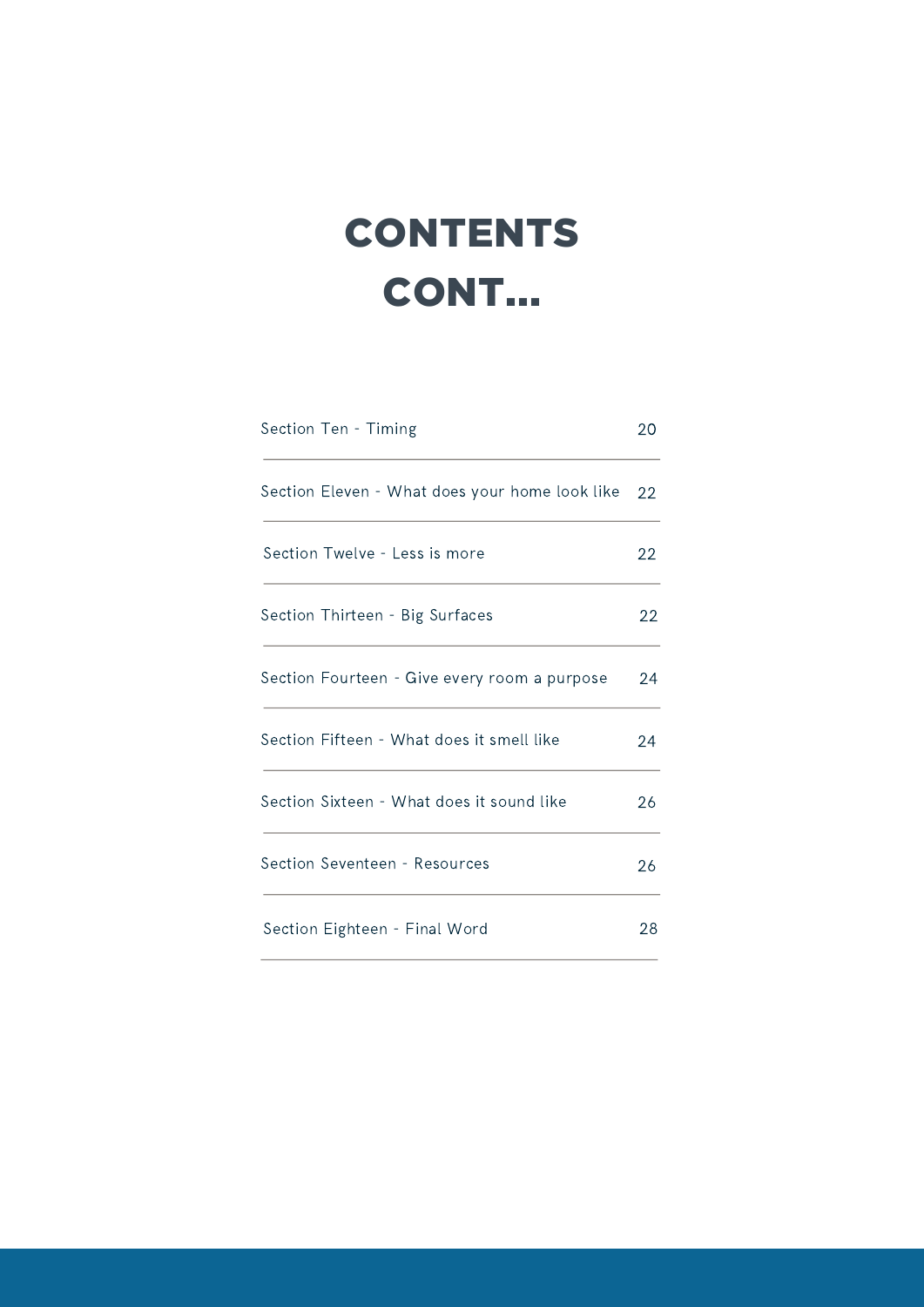# **CONTENTS** CONT...

| Section Ten - Timing                           | 20 |
|------------------------------------------------|----|
| Section Eleven - What does your home look like | 22 |
| Section Twelve - Less is more                  | 22 |
| Section Thirteen - Big Surfaces                | 22 |
| Section Fourteen - Give every room a purpose   | 24 |
| Section Fifteen - What does it smell like      | 24 |
| Section Sixteen - What does it sound like      | 26 |
| Section Seventeen - Resources                  | 26 |
| Section Eighteen - Final Word                  | 28 |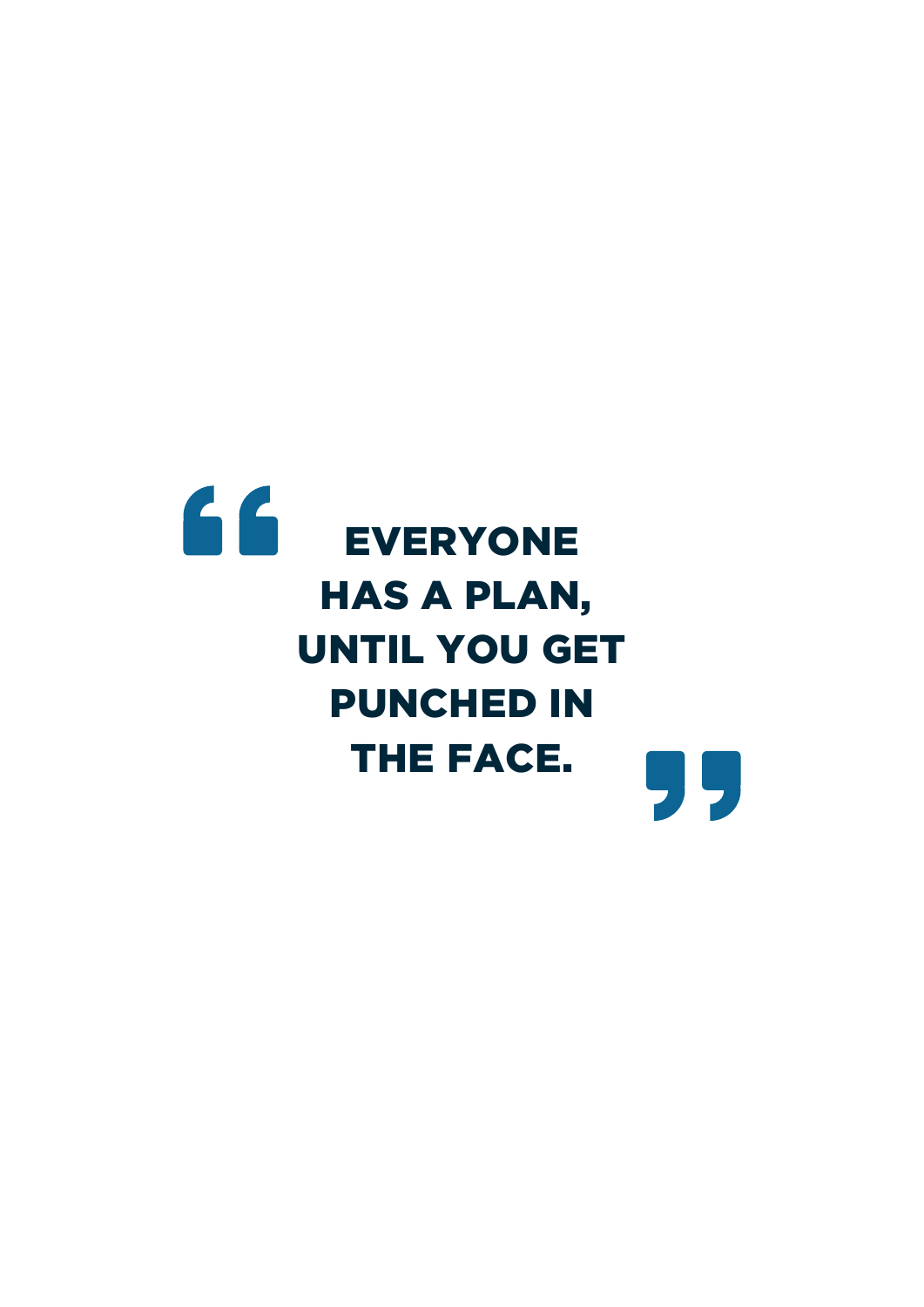# 66 EVERYONE HAS A PLAN, UNTIL YOU GET PUNCHED IN THE FACE.99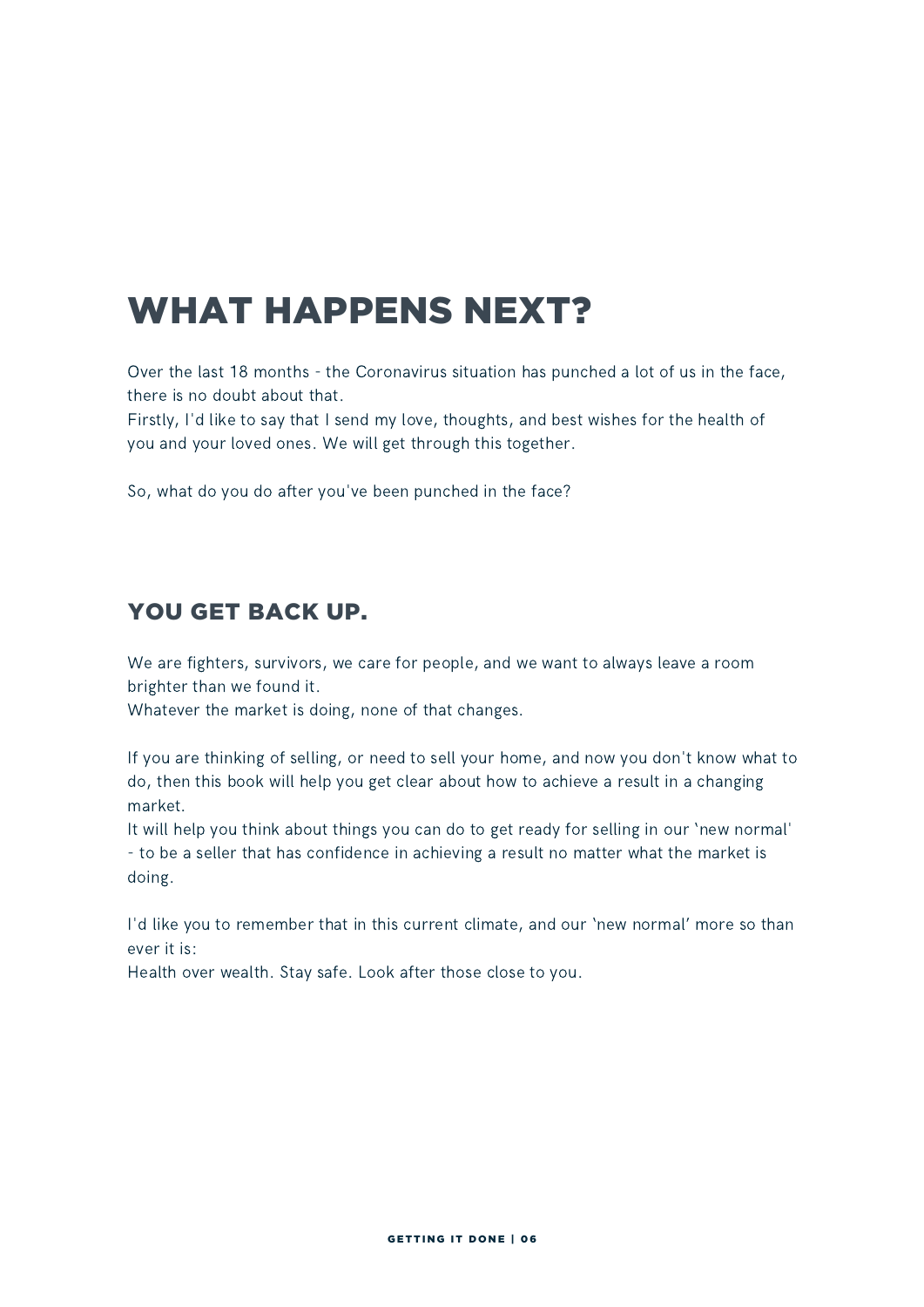# WHAT HAPPENS NEXT?

Over the last 18 months - the Coronavirus situation has punched a lot of us in the face, there is no doubt about that.

Firstly, I'd like to say that I send my love, thoughts, and best wishes for the health of you and your loved ones. We will get through this together.

So, what do you do after you've been punched in the face?

### YOU GET BACK UP.

We are fighters, survivors, we care for people, and we want to always leave a room brighter than we found it.

Whatever the market is doing, none of that changes.

If you are thinking of selling, or need to sell your home, and now you don't know what to do, then this book will help you get clear about how to achieve a result in a changing market.

It will help you think about things you can do to get ready for selling in our 'new normal' - to be a seller that has confidence in achieving a result no matter what the market is doing.

I'd like you to remember that in this current climate, and our 'new normal' more so than ever it is:

Health over wealth. Stay safe. Look after those close to you.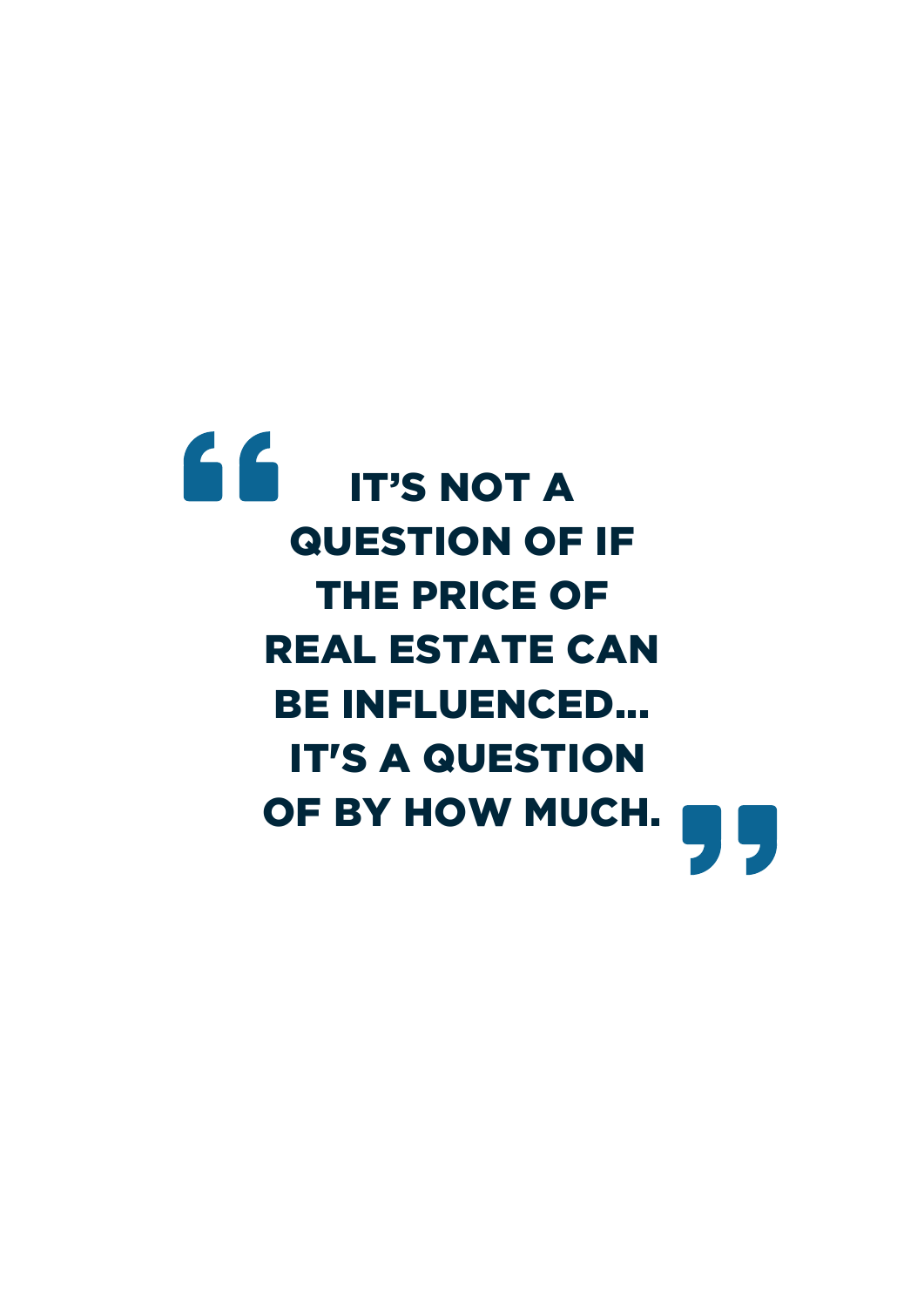# 66 IT'S NOT A QUESTION OF IF THE PRICE OF REAL ESTATE CAN BE INFLUENCED... IT'S A QUESTION OF BY HOW MUCH. $\overline{\phantom{a}}$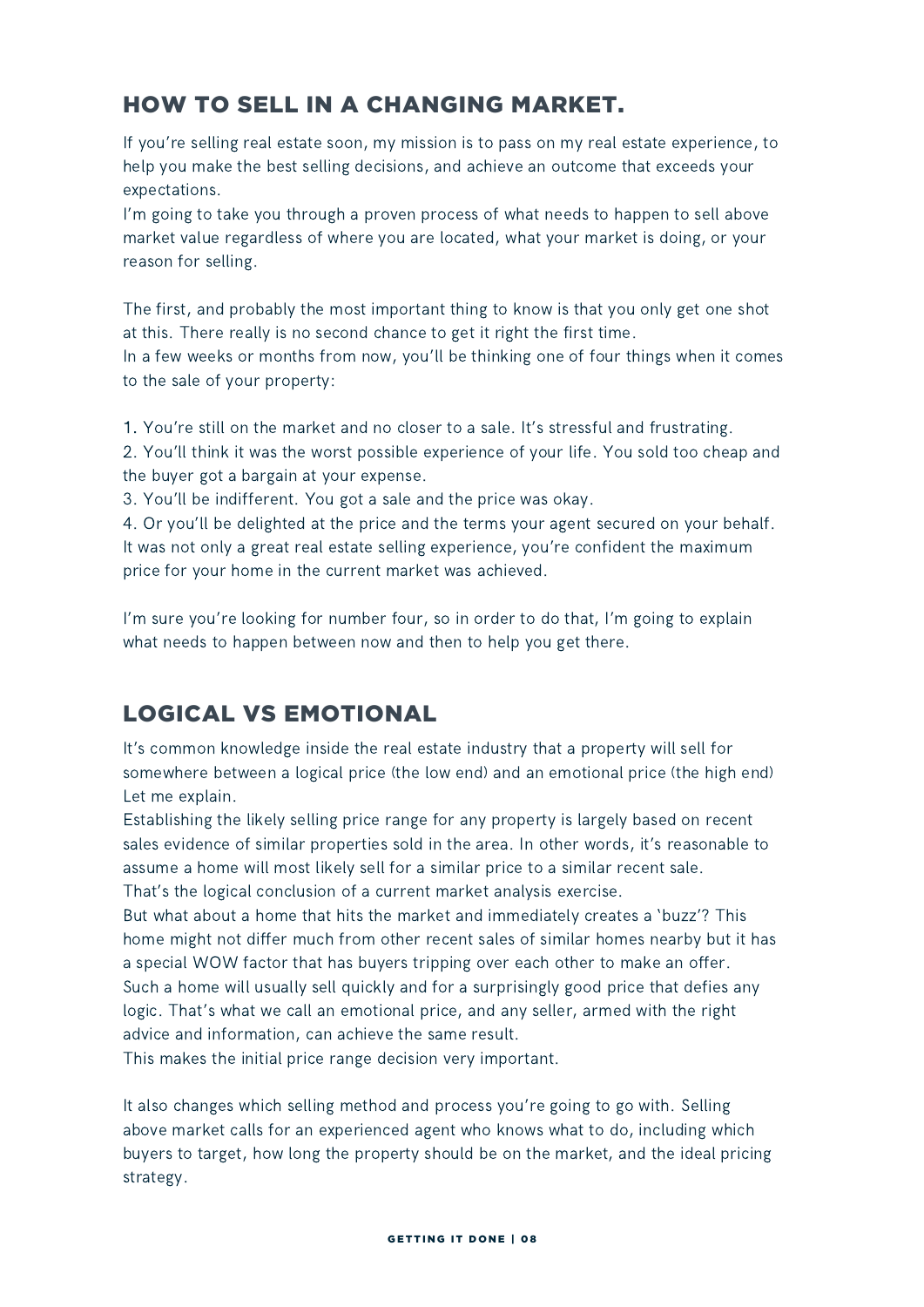### HOW TO SELL IN A CHANGING MARKET.

If you're selling real estate soon, my mission is to pass on my real estate experience, to help you make the best selling decisions, and achieve an outcome that exceeds your expectations.

I'm going to take you through a proven process of what needs to happen to sell above market value regardless of where you are located, what your market is doing, or your reason for selling.

The first, and probably the most important thing to know is that you only get one shot at this. There really is no second chance to get it right the first time.

In a few weeks or months from now, you'll be thinking one of four things when it comes to the sale of your property:

1. You're still on the market and no closer to a sale. It's stressful and frustrating.

2. You'll think it was the worst possible experience of your life. You sold too cheap and the buyer got a bargain at your expense.

3. You'll be indifferent. You got a sale and the price was okay.

4. Or you'll be delighted at the price and the terms your agent secured on your behalf. It was not only a great real estate selling experience, you're confident the maximum price for your home in the current market was achieved.

I'm sure you're looking for number four, so in order to do that, I'm going to explain what needs to happen between now and then to help you get there.

### LOGICAL VS EMOTIONAL

It's common knowledge inside the real estate industry that a property will sell for somewhere between a logical price (the low end) and an emotional price (the high end) Let me explain.

Establishing the likely selling price range for any property is largely based on recent sales evidence of similar properties sold in the area. In other words, it's reasonable to assume a home will most likely sell for a similar price to a similar recent sale. That's the logical conclusion of a current market analysis exercise.

But what about a home that hits the market and immediately creates a 'buzz'? This home might not differ much from other recent sales of similar homes nearby but it has a special WOW factor that has buyers tripping over each other to make an offer. Such a home will usually sell quickly and for a surprisingly good price that defies any logic. That's what we call an emotional price, and any seller, armed with the right advice and information, can achieve the same result.

This makes the initial price range decision very important.

It also changes which selling method and process you're going to go with. Selling above market calls for an experienced agent who knows what to do, including which buyers to target, how long the property should be on the market, and the ideal pricing strategy.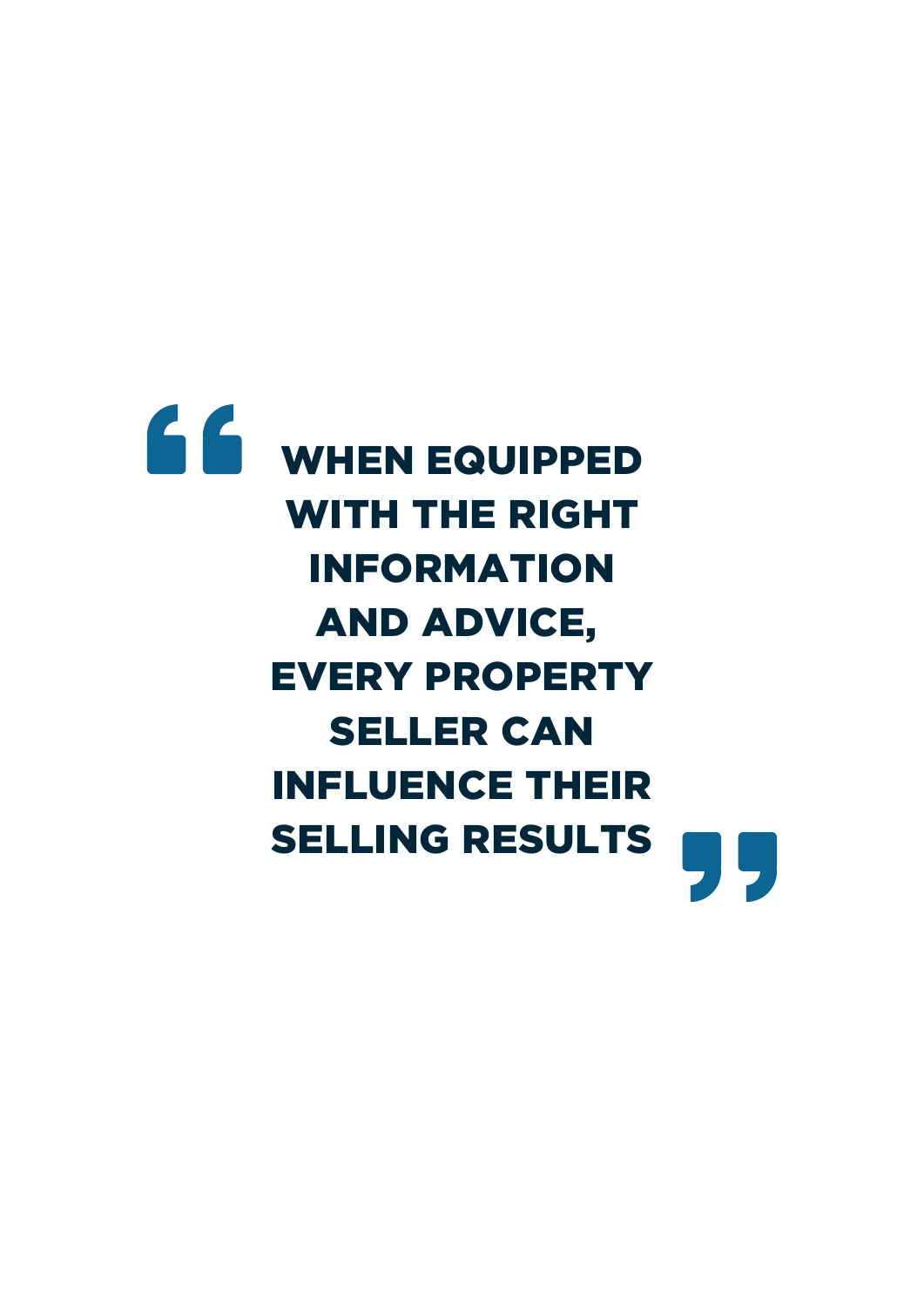# **66** WHEN EQUIPPED WITH THE RIGHT INFORMATION AND ADVICE, EVERY PROPERTY SELLER CAN INFLUENCE THEIR SELLING RESULTS95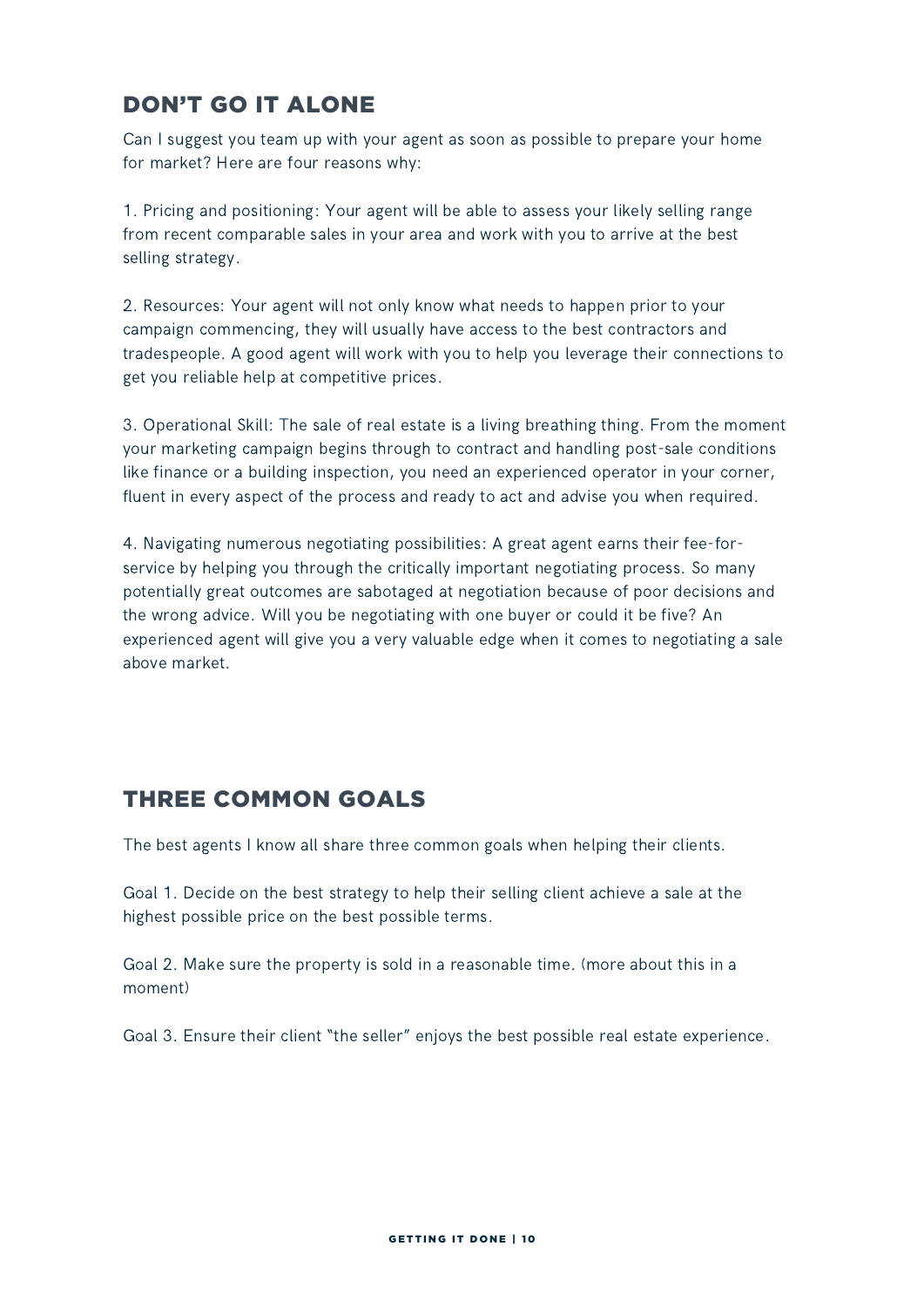### DON'T GO IT ALONE

Can I suggest you team up with your agent as soon as possible to prepare your home for market? Here are four reasons why:

1. Pricing and positioning: Your agent will be able to assess your likely selling range from recent comparable sales in your area and work with you to arrive at the best selling strategy.

2. Resources: Your agent will not only know what needs to happen prior to your campaign commencing, they will usually have access to the best contractors and tradespeople. A good agent will work with you to help you leverage their connections to get you reliable help at competitive prices.

3. Operational Skill: The sale of real estate is a living breathing thing. From the moment your marketing campaign begins through to contract and handling post-sale conditions like finance or a building inspection, you need an experienced operator in your corner, fluent in every aspect of the process and ready to act and advise you when required.

4. Navigating numerous negotiating possibilities: A great agent earns their fee-forservice by helping you through the critically important negotiating process. So many potentially great outcomes are sabotaged at negotiation because of poor decisions and the wrong advice. Will you be negotiating with one buyer or could it be five? An experienced agent will give you a very valuable edge when it comes to negotiating a sale above market.

### THREE COMMON GOALS

The best agents I know all share three common goals when helping their clients.

Goal 1. Decide on the best strategy to help their selling client achieve a sale at the highest possible price on the best possible terms.

Goal 2. Make sure the property is sold in a reasonable time. (more about this in a moment)

Goal 3. Ensure their client "the seller" enjoys the best possible real estate experience.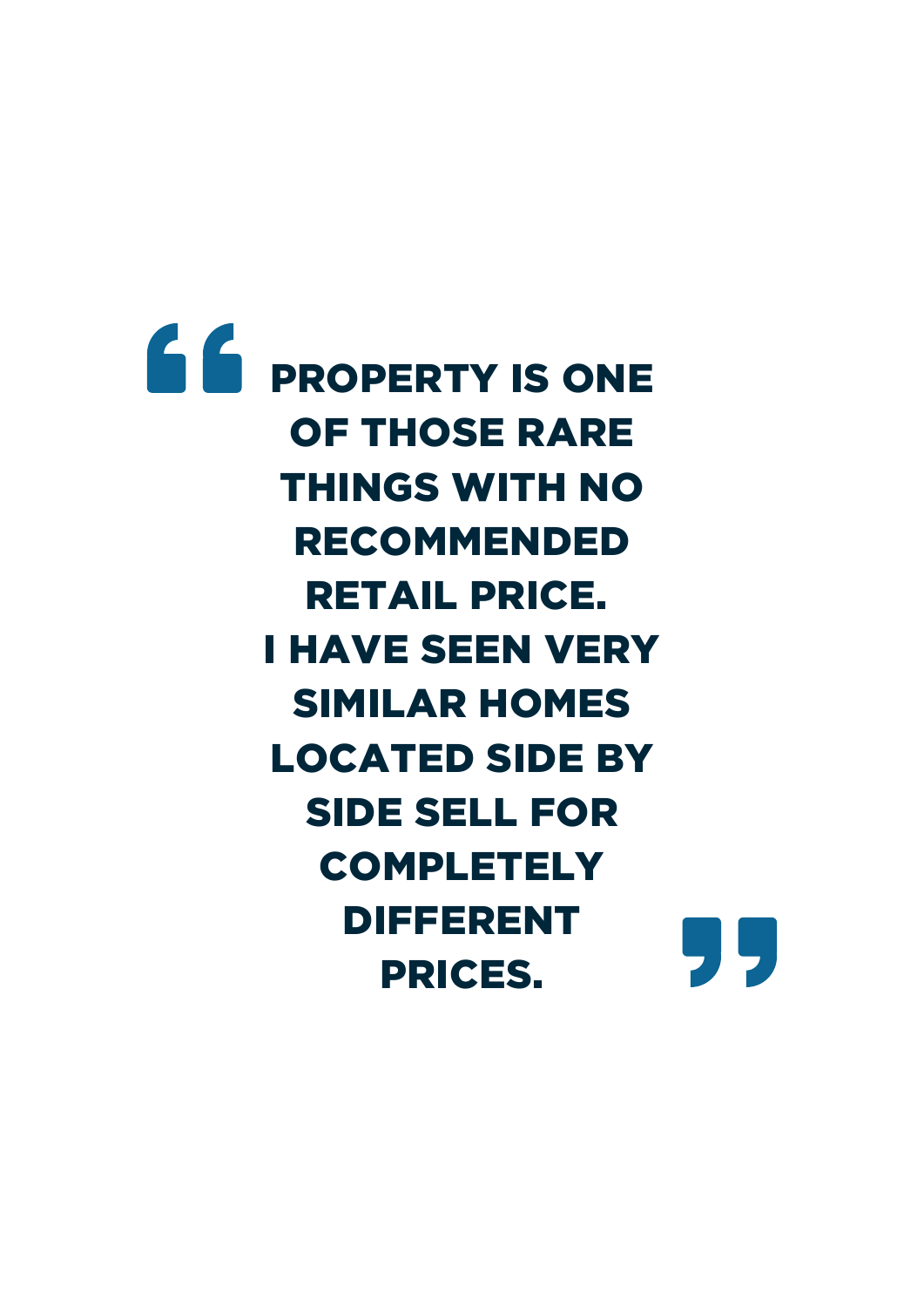$66$  PROPERTY IS ONE OF THOSE RARE THINGS WITH NO RECOMMENDED RETAIL PRICE. I HAVE SEEN VERY SIMILAR HOMES LOCATED SIDE BY SIDE SELL FOR **COMPLETELY** DIFFERENT 95 PRICES.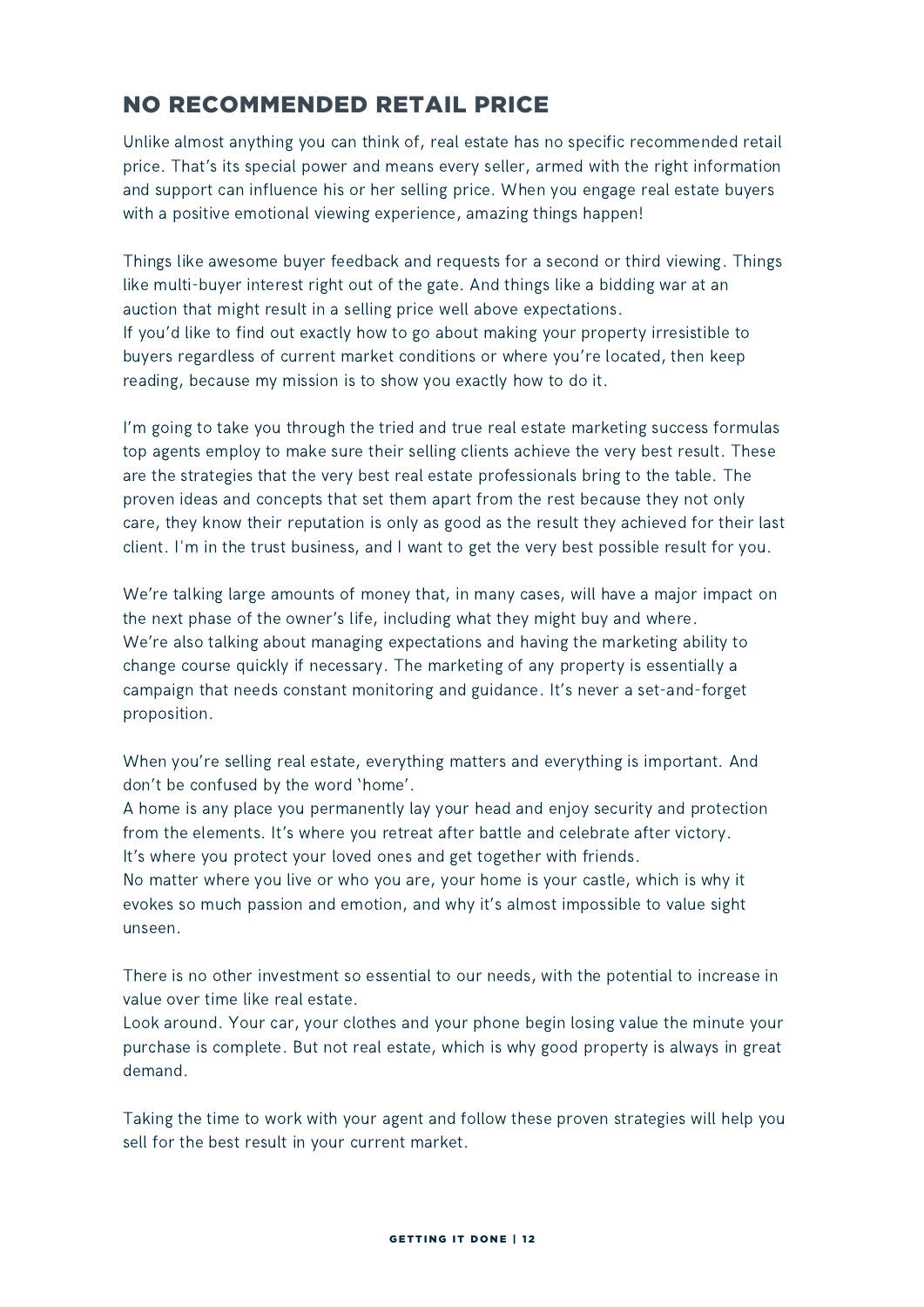### NO RECOMMENDED RETAIL PRICE

Unlike almost anything you can think of, real estate has no specific recommended retail price. That's its special power and means every seller, armed with the right information and support can influence his or her selling price. When you engage real estate buyers with a positive emotional viewing experience, amazing things happen!

Things like awesome buyer feedback and requests for a second or third viewing. Things like multi-buyer interest right out of the gate. And things like a bidding war at an auction that might result in a selling price well above expectations. If you'd like to find out exactly how to go about making your property irresistible to buyers regardless of current market conditions or where you're located, then keep reading, because my mission is to show you exactly how to do it.

I'm going to take you through the tried and true real estate marketing success formulas top agents employ to make sure their selling clients achieve the very best result. These are the strategies that the very best real estate professionals bring to the table. The proven ideas and concepts that set them apart from the rest because they not only care, they know their reputation is only as good as the result they achieved for their last client. I'm in the trust business, and I want to get the very best possible result for you.

We're talking large amounts of money that, in many cases, will have a major impact on the next phase of the owner's life, including what they might buy and where. We're also talking about managing expectations and having the marketing ability to change course quickly if necessary. The marketing of any property is essentially a campaign that needs constant monitoring and guidance. It's never a set-and-forget proposition.

When you're selling real estate, everything matters and everything is important. And don't be confused by the word 'home'.

A home is any place you permanently lay your head and enjoy security and protection from the elements. It's where you retreat after battle and celebrate after victory. It's where you protect your loved ones and get together with friends.

No matter where you live or who you are, your home is your castle, which is why it evokes so much passion and emotion, and why it's almost impossible to value sight unseen.

There is no other investment so essential to our needs, with the potential to increase in value over time like real estate.

Look around. Your car, your clothes and your phone begin losing value the minute your purchase is complete. But not real estate, which is why good property is always in great demand.

Taking the time to work with your agent and follow these proven strategies will help you sell for the best result in your current market.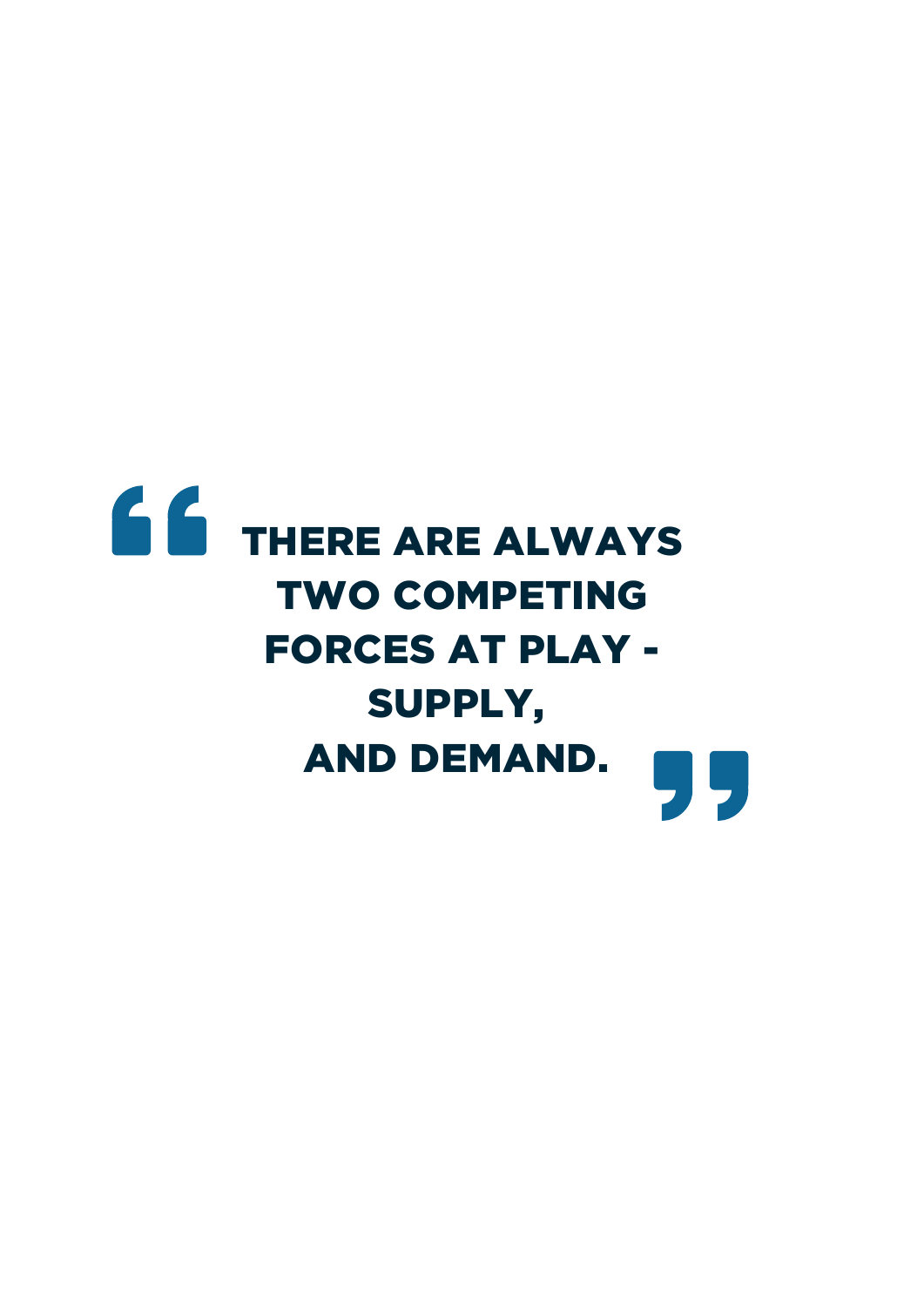# 66 THERE ARE ALWAYS TWO COMPETING FORCES AT PLAY - SUPPLY, AND DEMAND.99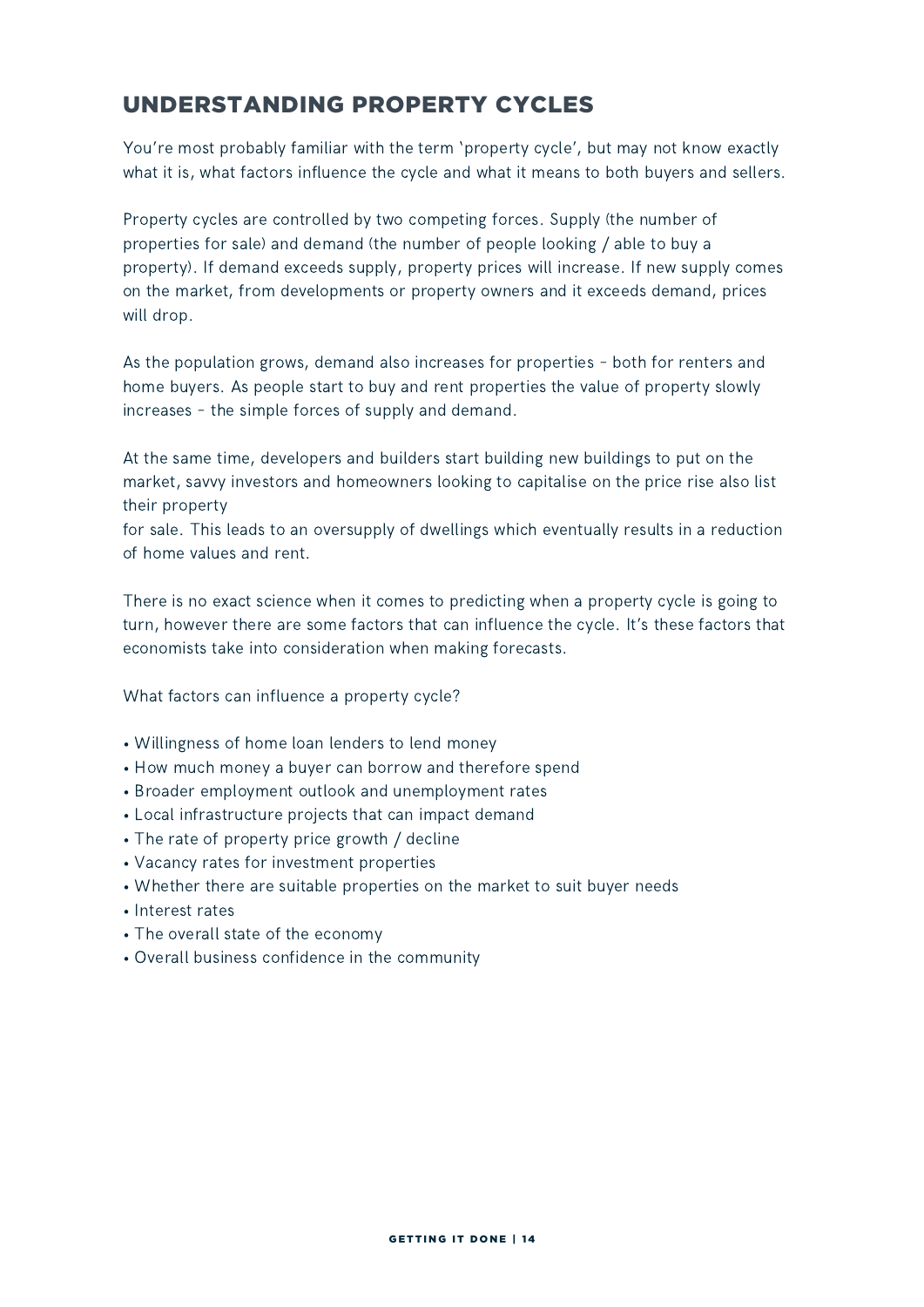### UNDERSTANDING PROPERTY CYCLES

You're most probably familiar with the term 'property cycle', but may not know exactly what it is, what factors influence the cycle and what it means to both buyers and sellers.

Property cycles are controlled by two competing forces. Supply (the number of properties for sale) and demand (the number of people looking / able to buy a property). If demand exceeds supply, property prices will increase. If new supply comes on the market, from developments or property owners and it exceeds demand, prices will drop.

As the population grows, demand also increases for properties – both for renters and home buyers. As people start to buy and rent properties the value of property slowly increases – the simple forces of supply and demand.

At the same time, developers and builders start building new buildings to put on the market, savvy investors and homeowners looking to capitalise on the price rise also list their property

for sale. This leads to an oversupply of dwellings which eventually results in a reduction of home values and rent.

There is no exact science when it comes to predicting when a property cycle is going to turn, however there are some factors that can influence the cycle. It's these factors that economists take into consideration when making forecasts.

What factors can influence a property cycle?

- Willingness of home loan lenders to lend money
- How much money a buyer can borrow and therefore spend
- Broader employment outlook and unemployment rates
- Local infrastructure projects that can impact demand
- The rate of property price growth / decline
- Vacancy rates for investment properties
- Whether there are suitable properties on the market to suit buyer needs
- Interest rates
- The overall state of the economy
- Overall business confidence in the community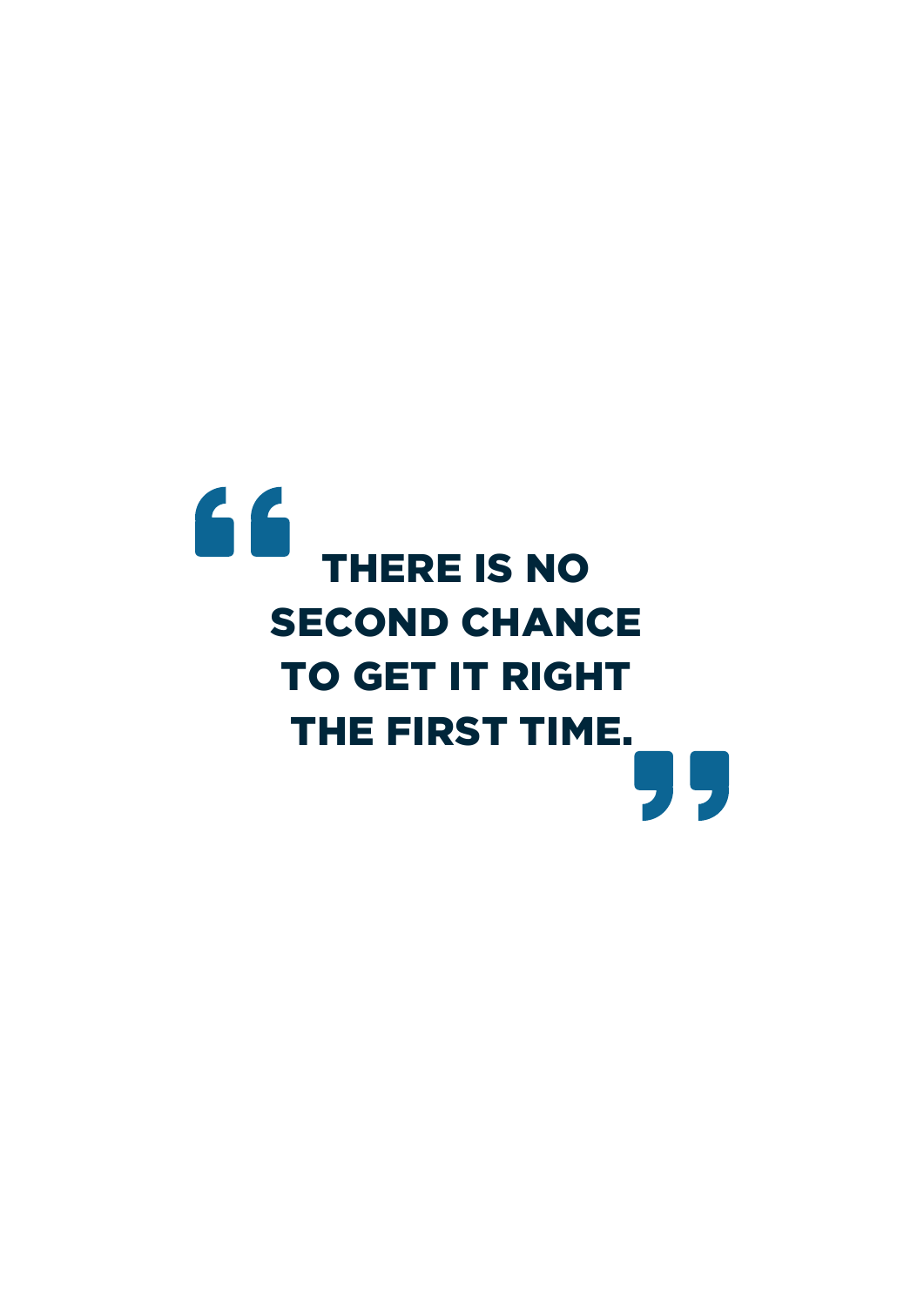# 66 THERE IS NO SECOND CHANCE TO GET IT RIGHT THE FIRST TIME.99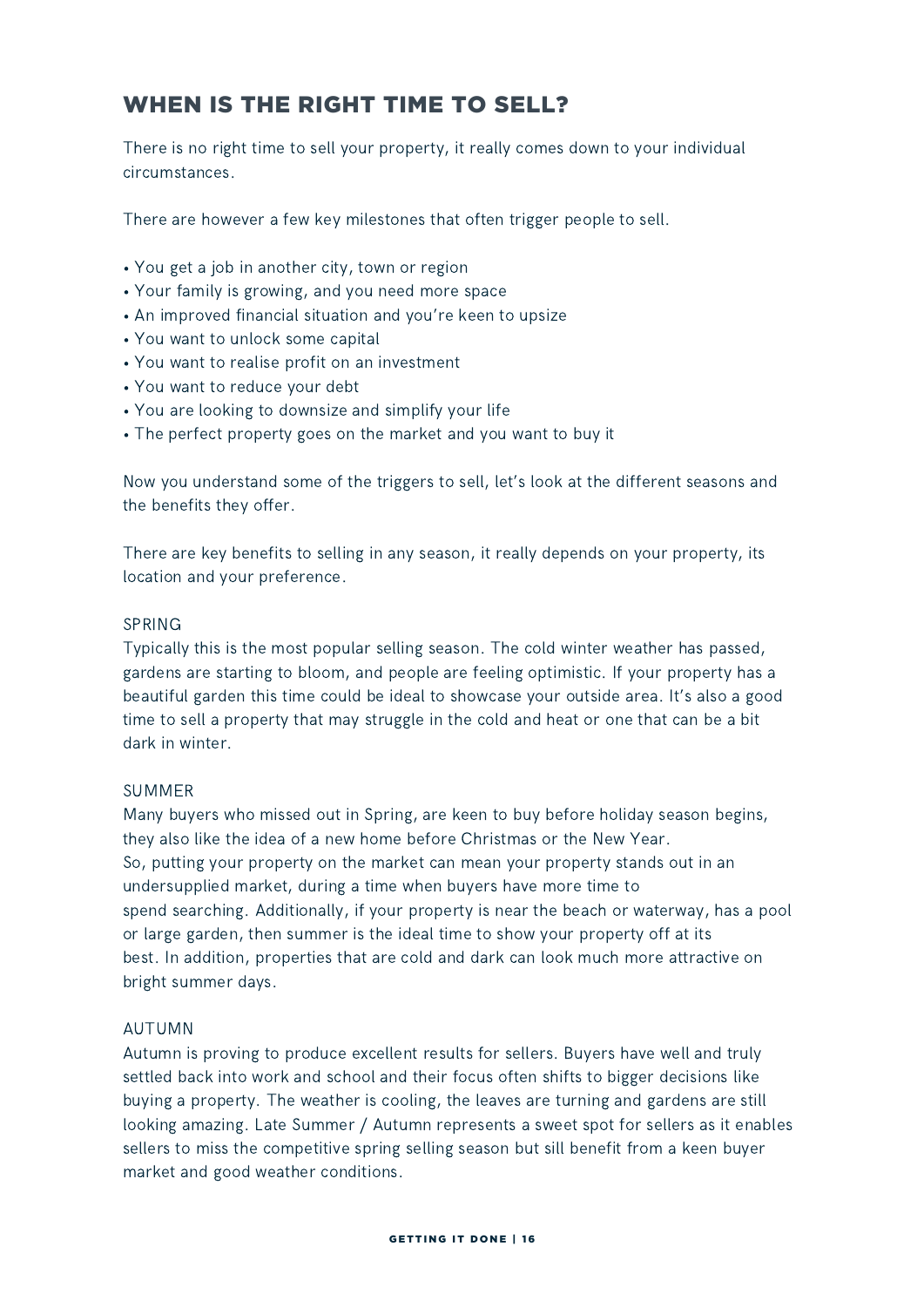### WHEN IS THE RIGHT TIME TO SELL?

There is no right time to sell your property, it really comes down to your individual circumstances.

There are however a few key milestones that often trigger people to sell.

- You get a job in another city, town or region
- Your family is growing, and you need more space
- An improved financial situation and you're keen to upsize
- You want to unlock some capital
- You want to realise profit on an investment
- You want to reduce your debt
- You are looking to downsize and simplify your life
- The perfect property goes on the market and you want to buy it

Now you understand some of the triggers to sell, let's look at the different seasons and the benefits they offer.

There are key benefits to selling in any season, it really depends on your property, its location and your preference.

### SPRING

Typically this is the most popular selling season. The cold winter weather has passed, gardens are starting to bloom, and people are feeling optimistic. If your property has a beautiful garden this time could be ideal to showcase your outside area. It's also a good time to sell a property that may struggle in the cold and heat or one that can be a bit dark in winter.

### SUMMER

Many buyers who missed out in Spring, are keen to buy before holiday season begins, they also like the idea of a new home before Christmas or the New Year. So, putting your property on the market can mean your property stands out in an undersupplied market, during a time when buyers have more time to spend searching. Additionally, if your property is near the beach or waterway, has a pool or large garden, then summer is the ideal time to show your property off at its best. In addition, properties that are cold and dark can look much more attractive on bright summer days.

### AUTUMN

Autumn is proving to produce excellent results for sellers. Buyers have well and truly settled back into work and school and their focus often shifts to bigger decisions like buying a property. The weather is cooling, the leaves are turning and gardens are still looking amazing. Late Summer / Autumn represents a sweet spot for sellers as it enables sellers to miss the competitive spring selling season but sill benefit from a keen buyer market and good weather conditions.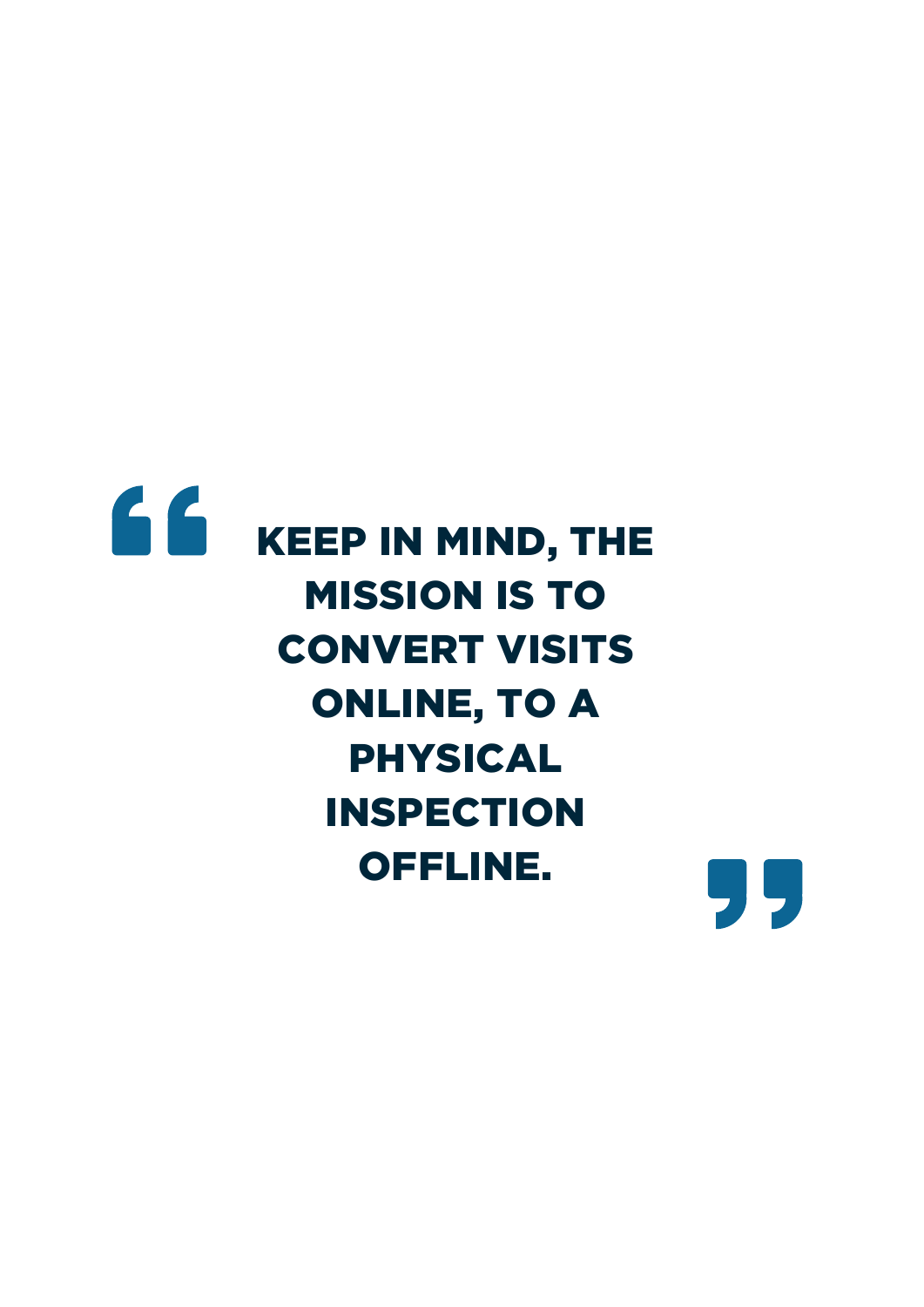# 66 KEEP IN MIND, THE MISSION IS TO CONVERT VISITS ONLINE, TO A PHYSICAL INSPECTION OFFLINE.

99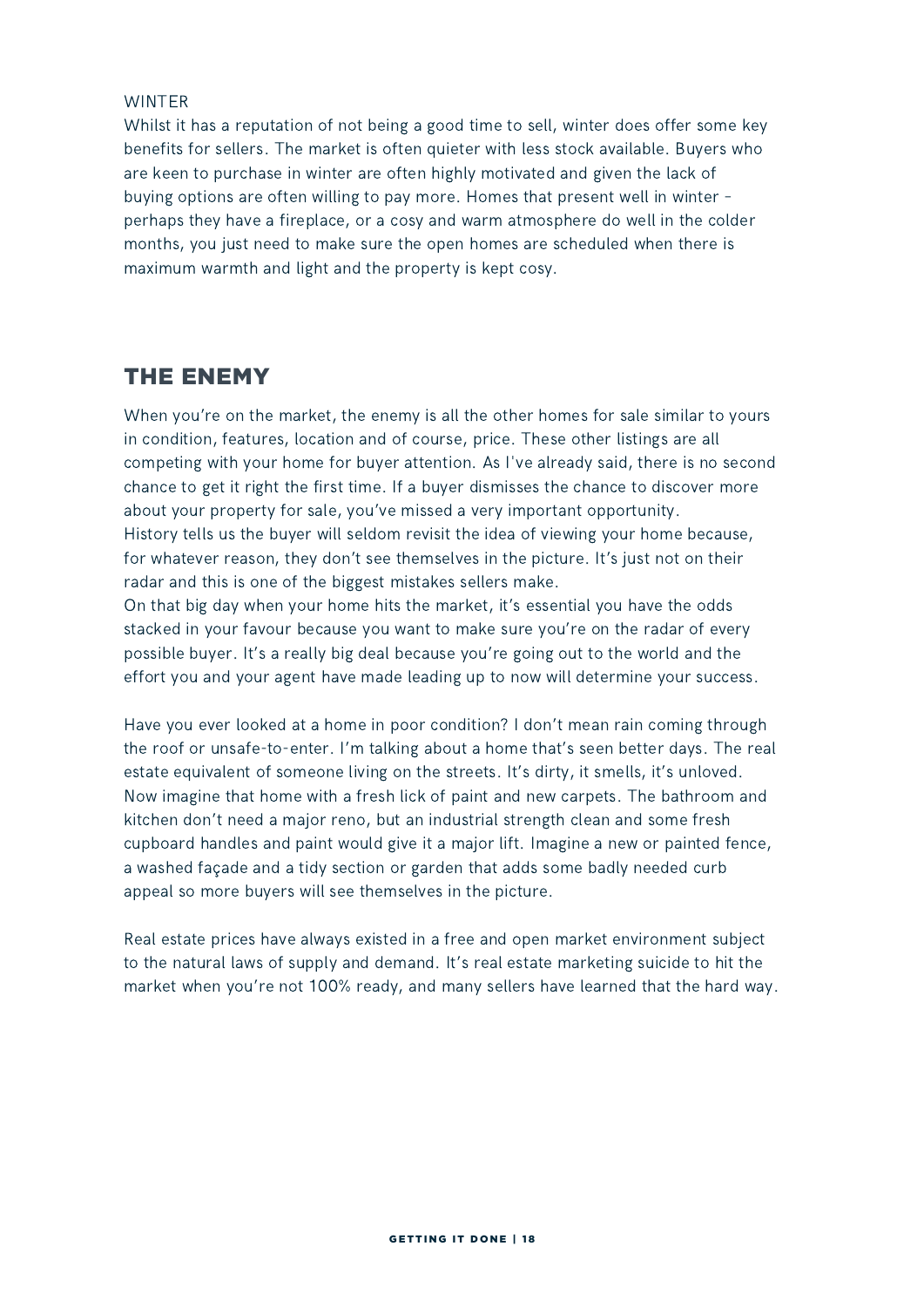### WINTER

Whilst it has a reputation of not being a good time to sell, winter does offer some key benefits for sellers. The market is often quieter with less stock available. Buyers who are keen to purchase in winter are often highly motivated and given the lack of buying options are often willing to pay more. Homes that present well in winter – perhaps they have a fireplace, or a cosy and warm atmosphere do well in the colder months, you just need to make sure the open homes are scheduled when there is maximum warmth and light and the property is kept cosy.

### THE ENEMY

When you're on the market, the enemy is all the other homes for sale similar to yours in condition, features, location and of course, price. These other listings are all competing with your home for buyer attention. As I've already said, there is no second chance to get it right the first time. If a buyer dismisses the chance to discover more about your property for sale, you've missed a very important opportunity. History tells us the buyer will seldom revisit the idea of viewing your home because, for whatever reason, they don't see themselves in the picture. It's just not on their radar and this is one of the biggest mistakes sellers make.

On that big day when your home hits the market, it's essential you have the odds stacked in your favour because you want to make sure you're on the radar of every possible buyer. It's a really big deal because you're going out to the world and the effort you and your agent have made leading up to now will determine your success.

Have you ever looked at a home in poor condition? I don't mean rain coming through the roof or unsafe-to-enter. I'm talking about a home that's seen better days. The real estate equivalent of someone living on the streets. It's dirty, it smells, it's unloved. Now imagine that home with a fresh lick of paint and new carpets. The bathroom and kitchen don't need a major reno, but an industrial strength clean and some fresh cupboard handles and paint would give it a major lift. Imagine a new or painted fence, a washed façade and a tidy section or garden that adds some badly needed curb appeal so more buyers will see themselves in the picture.

Real estate prices have always existed in a free and open market environment subject to the natural laws of supply and demand. It's real estate marketing suicide to hit the market when you're not 100% ready, and many sellers have learned that the hard way.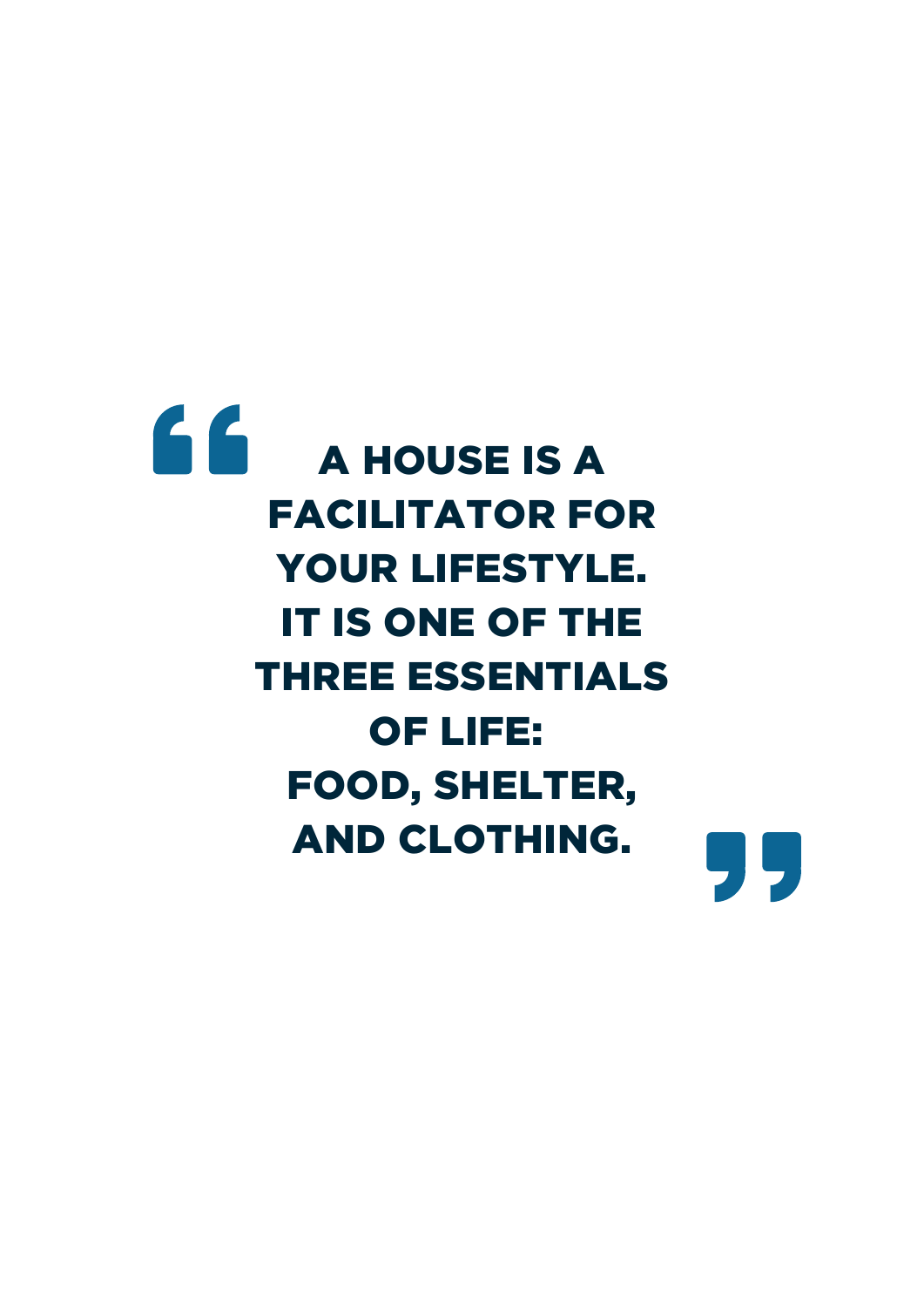# **A HOUSE IS A** FACILITATOR FOR YOUR LIFESTYLE. IT IS ONE OF THE THREE ESSENTIALS OF LIFE: FOOD, SHELTER, AND CLOTHING.

95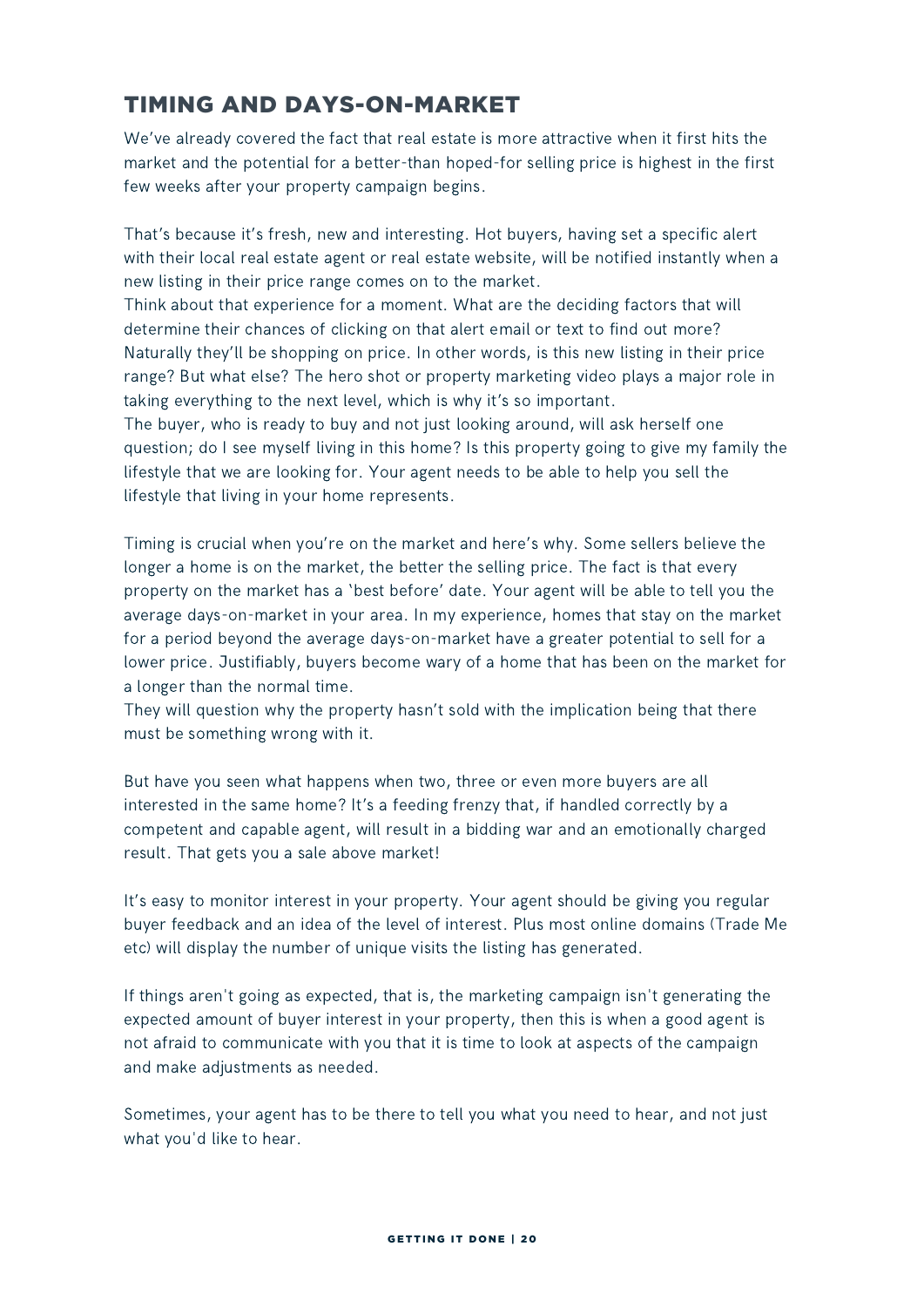### TIMING AND DAYS-ON-MARKET

We've already covered the fact that real estate is more attractive when it first hits the market and the potential for a better-than hoped-for selling price is highest in the first few weeks after your property campaign begins.

That's because it's fresh, new and interesting. Hot buyers, having set a specific alert with their local real estate agent or real estate website, will be notified instantly when a new listing in their price range comes on to the market.

Think about that experience for a moment. What are the deciding factors that will determine their chances of clicking on that alert email or text to find out more? Naturally they'll be shopping on price. In other words, is this new listing in their price range? But what else? The hero shot or property marketing video plays a major role in taking everything to the next level, which is why it's so important.

The buyer, who is ready to buy and not just looking around, will ask herself one question; do I see myself living in this home? Is this property going to give my family the lifestyle that we are looking for. Your agent needs to be able to help you sell the lifestyle that living in your home represents.

Timing is crucial when you're on the market and here's why. Some sellers believe the longer a home is on the market, the better the selling price. The fact is that every property on the market has a 'best before' date. Your agent will be able to tell you the average days-on-market in your area. In my experience, homes that stay on the market for a period beyond the average days-on-market have a greater potential to sell for a lower price. Justifiably, buyers become wary of a home that has been on the market for a longer than the normal time.

They will question why the property hasn't sold with the implication being that there must be something wrong with it.

But have you seen what happens when two, three or even more buyers are all interested in the same home? It's a feeding frenzy that, if handled correctly by a competent and capable agent, will result in a bidding war and an emotionally charged result. That gets you a sale above market!

It's easy to monitor interest in your property. Your agent should be giving you regular buyer feedback and an idea of the level of interest. Plus most online domains (Trade Me etc) will display the number of unique visits the listing has generated.

If things aren't going as expected, that is, the marketing campaign isn't generating the expected amount of buyer interest in your property, then this is when a good agent is not afraid to communicate with you that it is time to look at aspects of the campaign and make adjustments as needed.

Sometimes, your agent has to be there to tell you what you need to hear, and not just what you'd like to hear.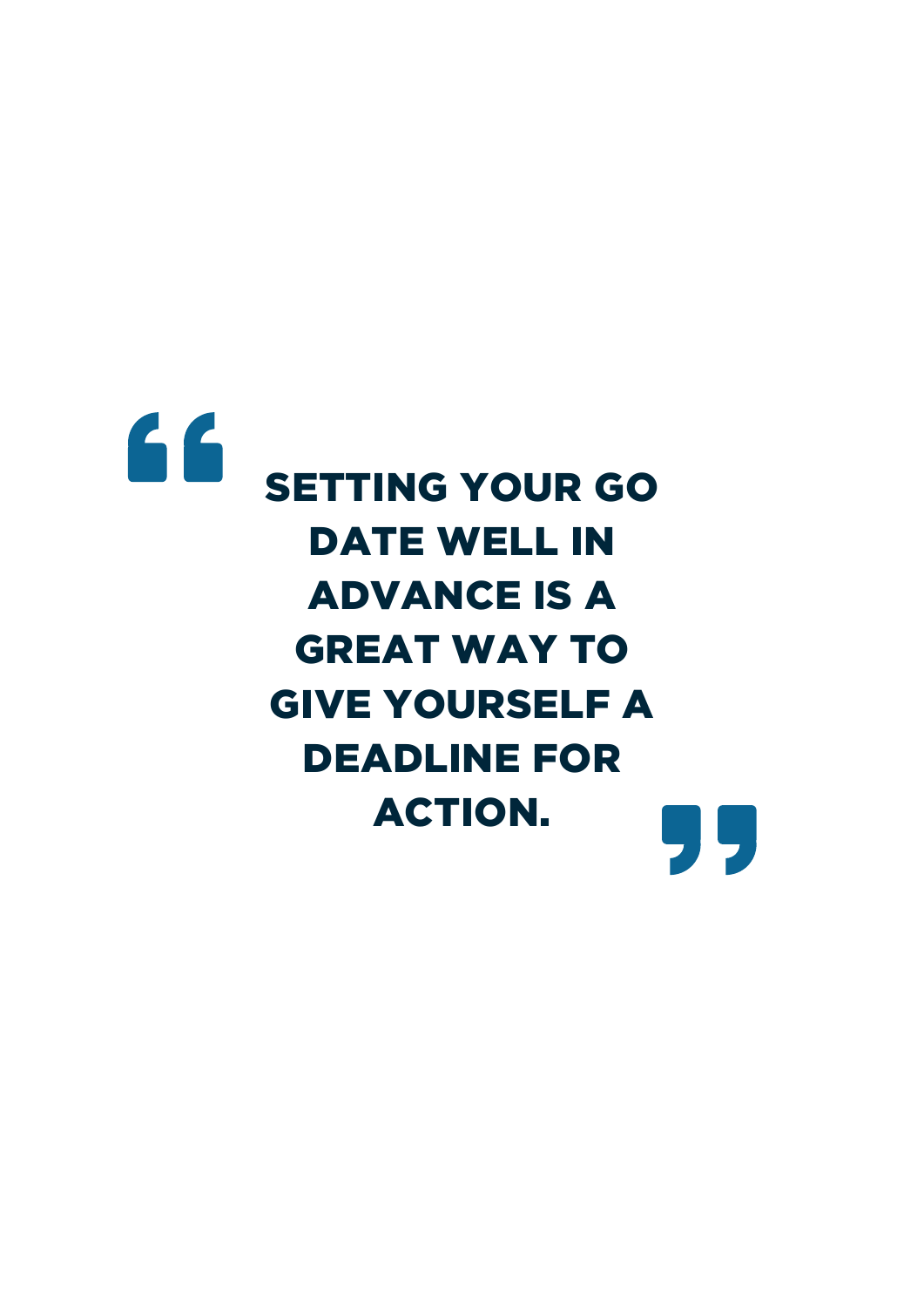

DATE WELL IN ADVANCE IS A GREAT WAY TO GIVE YOURSELF A DEADLINE FOR ACTION.99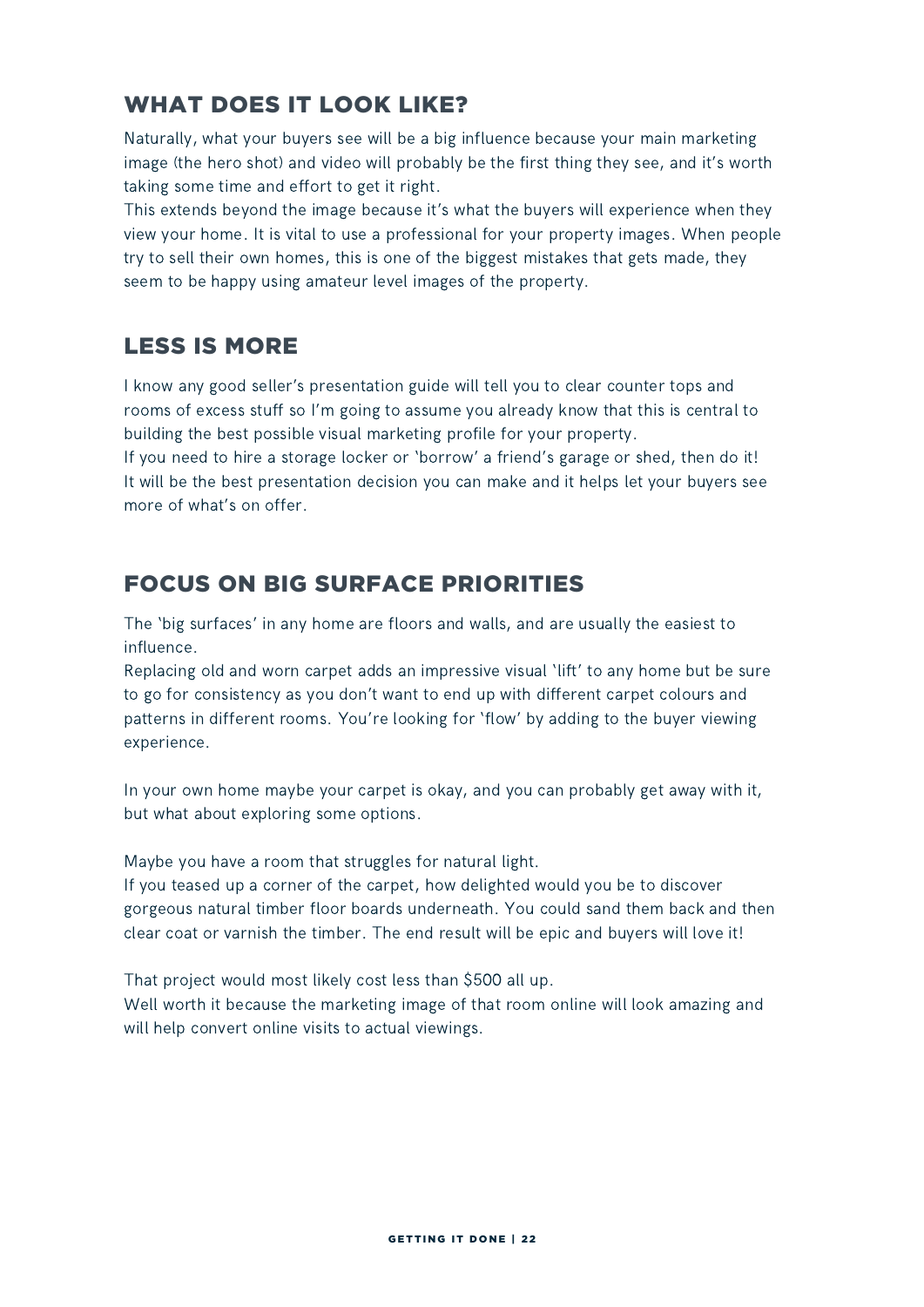### WHAT DOES IT LOOK LIKE?

Naturally, what your buyers see will be a big influence because your main marketing image (the hero shot) and video will probably be the first thing they see, and it's worth taking some time and effort to get it right.

This extends beyond the image because it's what the buyers will experience when they view your home. It is vital to use a professional for your property images. When people try to sell their own homes, this is one of the biggest mistakes that gets made, they seem to be happy using amateur level images of the property.

### LESS IS MORE

I know any good seller's presentation guide will tell you to clear counter tops and rooms of excess stuff so I'm going to assume you already know that this is central to building the best possible visual marketing profile for your property.

If you need to hire a storage locker or 'borrow' a friend's garage or shed, then do it! It will be the best presentation decision you can make and it helps let your buyers see more of what's on offer.

### FOCUS ON BIG SURFACE PRIORITIES

The 'big surfaces' in any home are floors and walls, and are usually the easiest to influence.

Replacing old and worn carpet adds an impressive visual 'lift' to any home but be sure to go for consistency as you don't want to end up with different carpet colours and patterns in different rooms. You're looking for 'flow' by adding to the buyer viewing experience.

In your own home maybe your carpet is okay, and you can probably get away with it, but what about exploring some options.

Maybe you have a room that struggles for natural light.

If you teased up a corner of the carpet, how delighted would you be to discover gorgeous natural timber floor boards underneath. You could sand them back and then clear coat or varnish the timber. The end result will be epic and buyers will love it!

That project would most likely cost less than \$500 all up.

Well worth it because the marketing image of that room online will look amazing and will help convert online visits to actual viewings.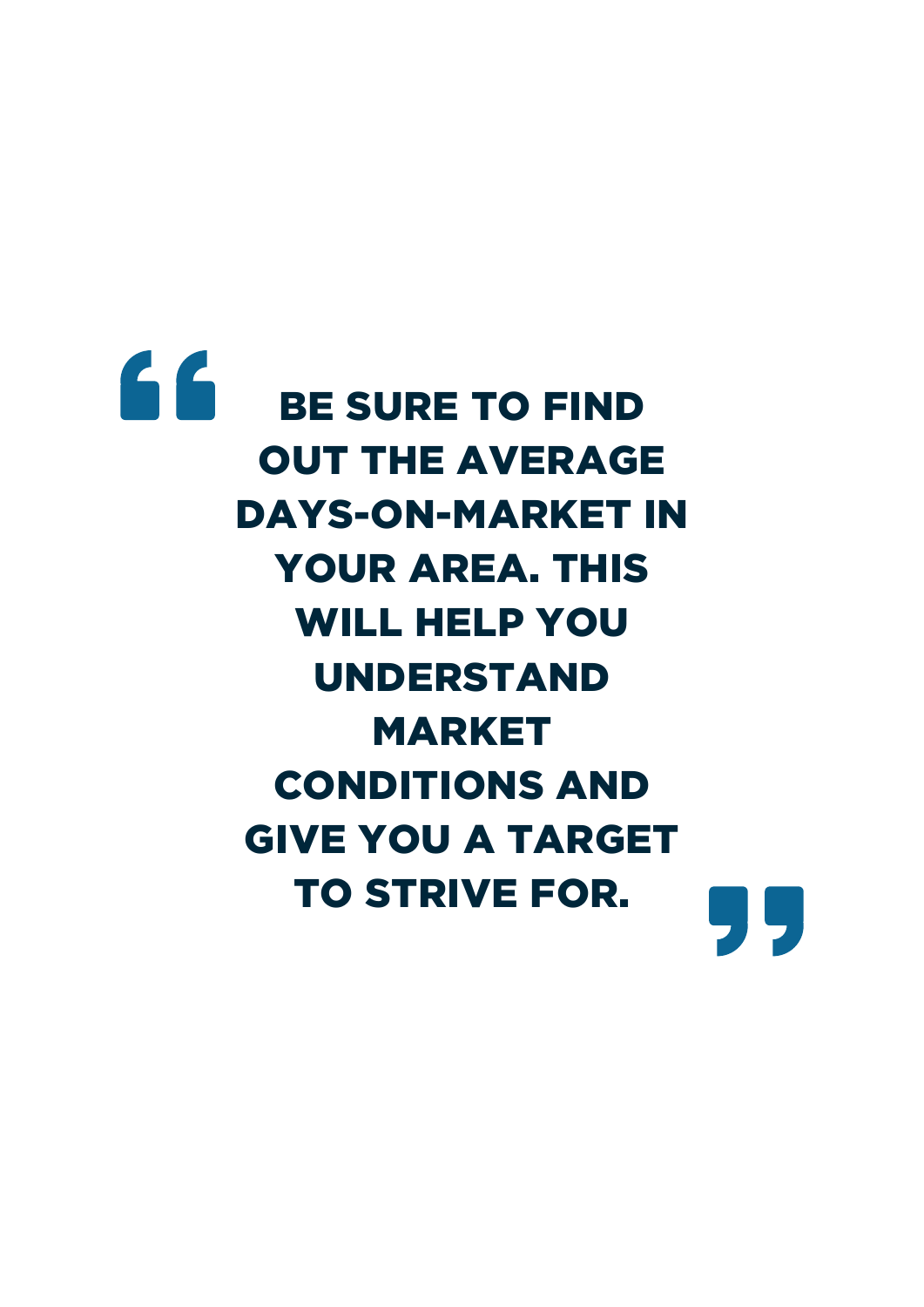# 66 BE SURE TO FIND OUT THE AVERAGE DAYS-ON-MARKET IN YOUR AREA. THIS WILL HELP YOU UNDERSTAND MARKET CONDITIONS AND GIVE YOU A TARGET TO STRIVE FOR.99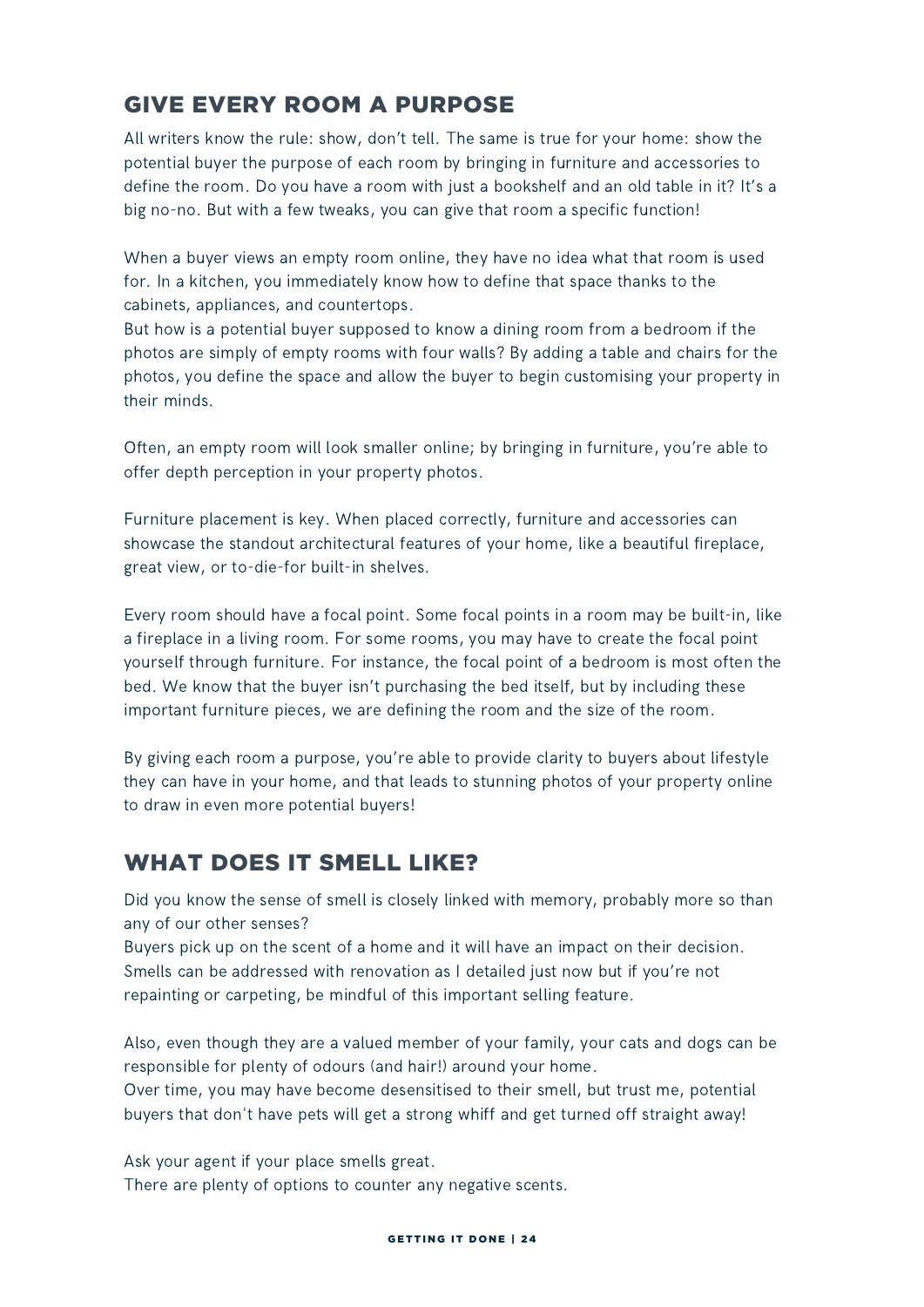### GIVE EVERY ROOM A PURPOSE

All writers know the rule: show, don't tell. The same is true for your home: show the potential buyer the purpose of each room by bringing in furniture and accessories to define the room. Do you have a room with just a bookshelf and an old table in it? It's a big no-no. But with a few tweaks, you can give that room a specific function!

When a buyer views an empty room online, they have no idea what that room is used for. In a kitchen, you immediately know how to define that space thanks to the cabinets, appliances, and countertops.

But how is a potential buyer supposed to know a dining room from a bedroom if the photos are simply of empty rooms with four walls? By adding a table and chairs for the photos, you define the space and allow the buyer to begin customising your property in their minds.

Often, an empty room will look smaller online; by bringing in furniture, you're able to offer depth perception in your property photos.

Furniture placement is key. When placed correctly, furniture and accessories can showcase the standout architectural features of your home, like a beautiful fireplace, great view, or to-die-for built-in shelves.

Every room should have a focal point. Some focal points in a room may be built-in, like a fireplace in a living room. For some rooms, you may have to create the focal point yourself through furniture. For instance, the focal point of a bedroom is most often the bed. We know that the buyer isn't purchasing the bed itself, but by including these important furniture pieces, we are defining the room and the size of the room.

By giving each room a purpose, you're able to provide clarity to buyers about lifestyle they can have in your home, and that leads to stunning photos of your property online to draw in even more potential buyers!

### WHAT DOES IT SMELL LIKE?

Did you know the sense of smell is closely linked with memory, probably more so than any of our other senses?

Buyers pick up on the scent of a home and it will have an impact on their decision. Smells can be addressed with renovation as I detailed just now but if you're not repainting or carpeting, be mindful of this important selling feature.

Also, even though they are a valued member of your family, your cats and dogs can be responsible for plenty of odours (and hair!) around your home.

Over time, you may have become desensitised to their smell, but trust me, potential buyers that don't have pets will get a strong whiff and get turned off straight away!

Ask your agent if your place smells great.

There are plenty of options to counter any negative scents.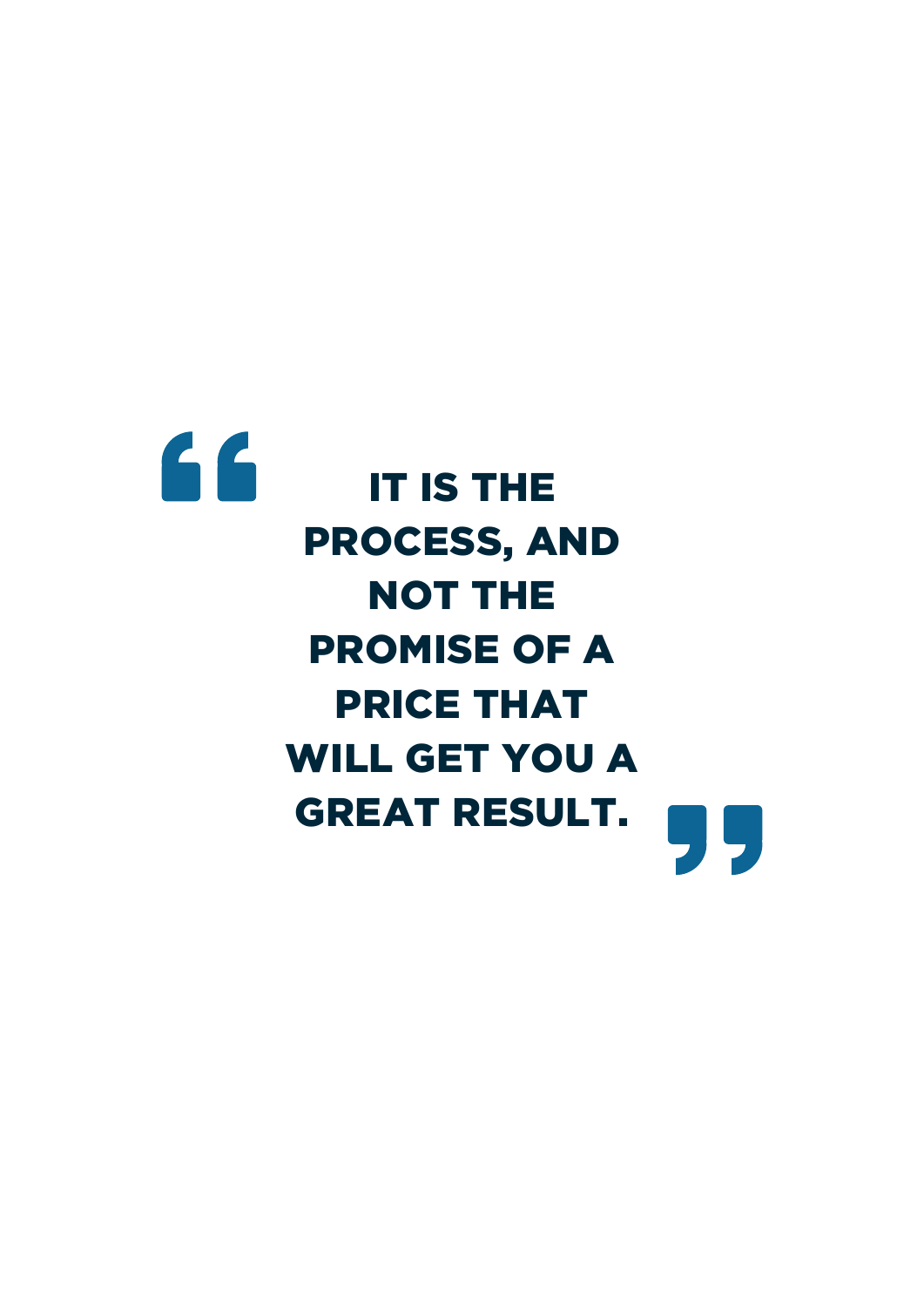# 66 IT IS THE PROCESS, AND NOT THE PROMISE OF A PRICE THAT WILL GET YOU A GREAT RESULT.99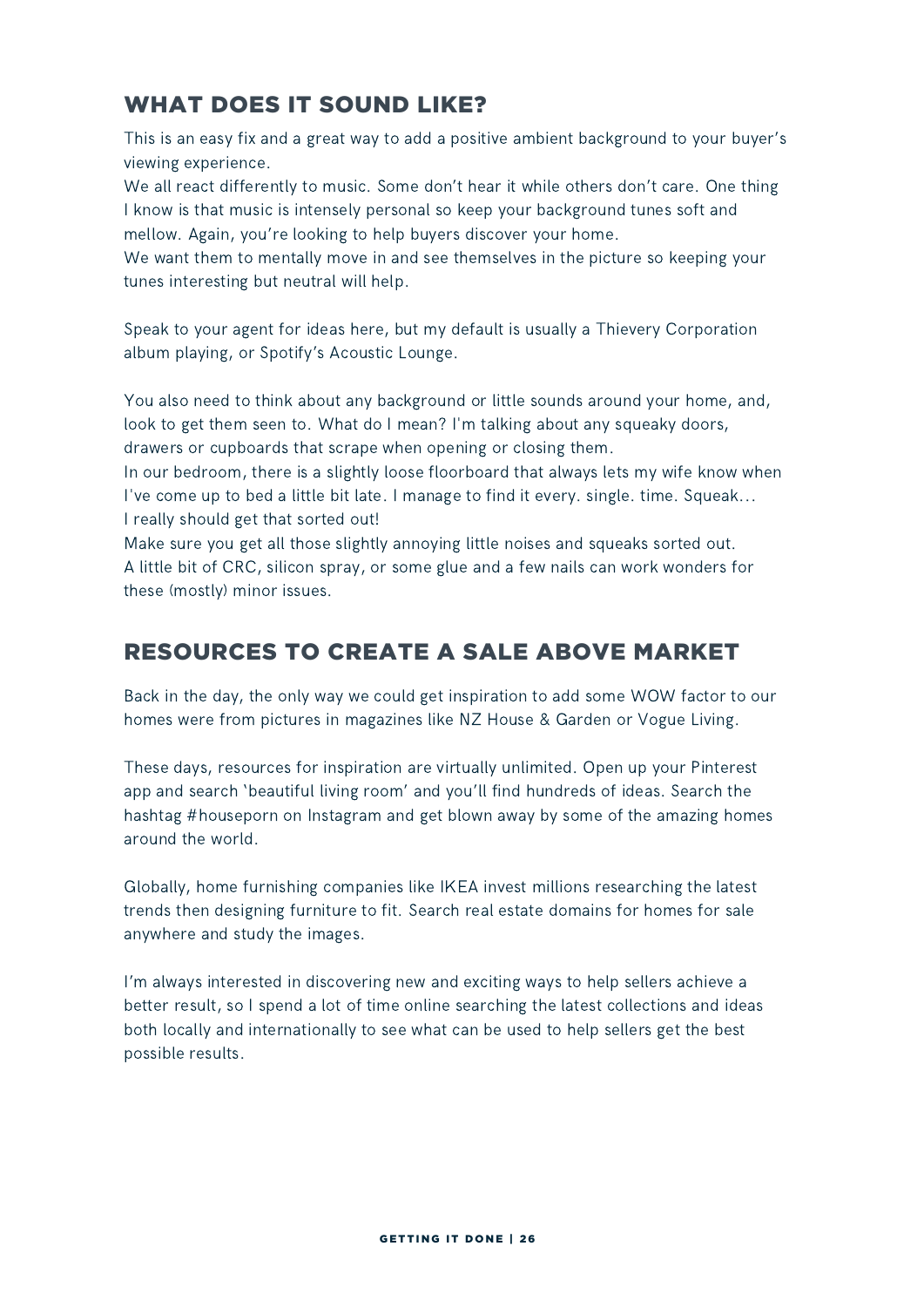### WHAT DOES IT SOUND LIKE?

This is an easy fix and a great way to add a positive ambient background to your buyer's viewing experience.

We all react differently to music. Some don't hear it while others don't care. One thing I know is that music is intensely personal so keep your background tunes soft and mellow. Again, you're looking to help buyers discover your home.

We want them to mentally move in and see themselves in the picture so keeping your tunes interesting but neutral will help.

Speak to your agent for ideas here, but my default is usually a Thievery Corporation album playing, or Spotify's Acoustic Lounge.

You also need to think about any background or little sounds around your home, and, look to get them seen to. What do I mean? I'm talking about any squeaky doors, drawers or cupboards that scrape when opening or closing them.

In our bedroom, there is a slightly loose floorboard that always lets my wife know when I've come up to bed a little bit late. I manage to find it every. single. time. Squeak... I really should get that sorted out!

Make sure you get all those slightly annoying little noises and squeaks sorted out. A little bit of CRC, silicon spray, or some glue and a few nails can work wonders for these (mostly) minor issues.

### RESOURCES TO CREATE A SALE ABOVE MARKET

Back in the day, the only way we could get inspiration to add some WOW factor to our homes were from pictures in magazines like NZ House & Garden or Vogue Living.

These days, resources for inspiration are virtually unlimited. Open up your Pinterest app and search 'beautiful living room' and you'll find hundreds of ideas. Search the hashtag #houseporn on Instagram and get blown away by some of the amazing homes around the world.

Globally, home furnishing companies like IKEA invest millions researching the latest trends then designing furniture to fit. Search real estate domains for homes for sale anywhere and study the images.

I'm always interested in discovering new and exciting ways to help sellers achieve a better result, so I spend a lot of time online searching the latest collections and ideas both locally and internationally to see what can be used to help sellers get the best possible results.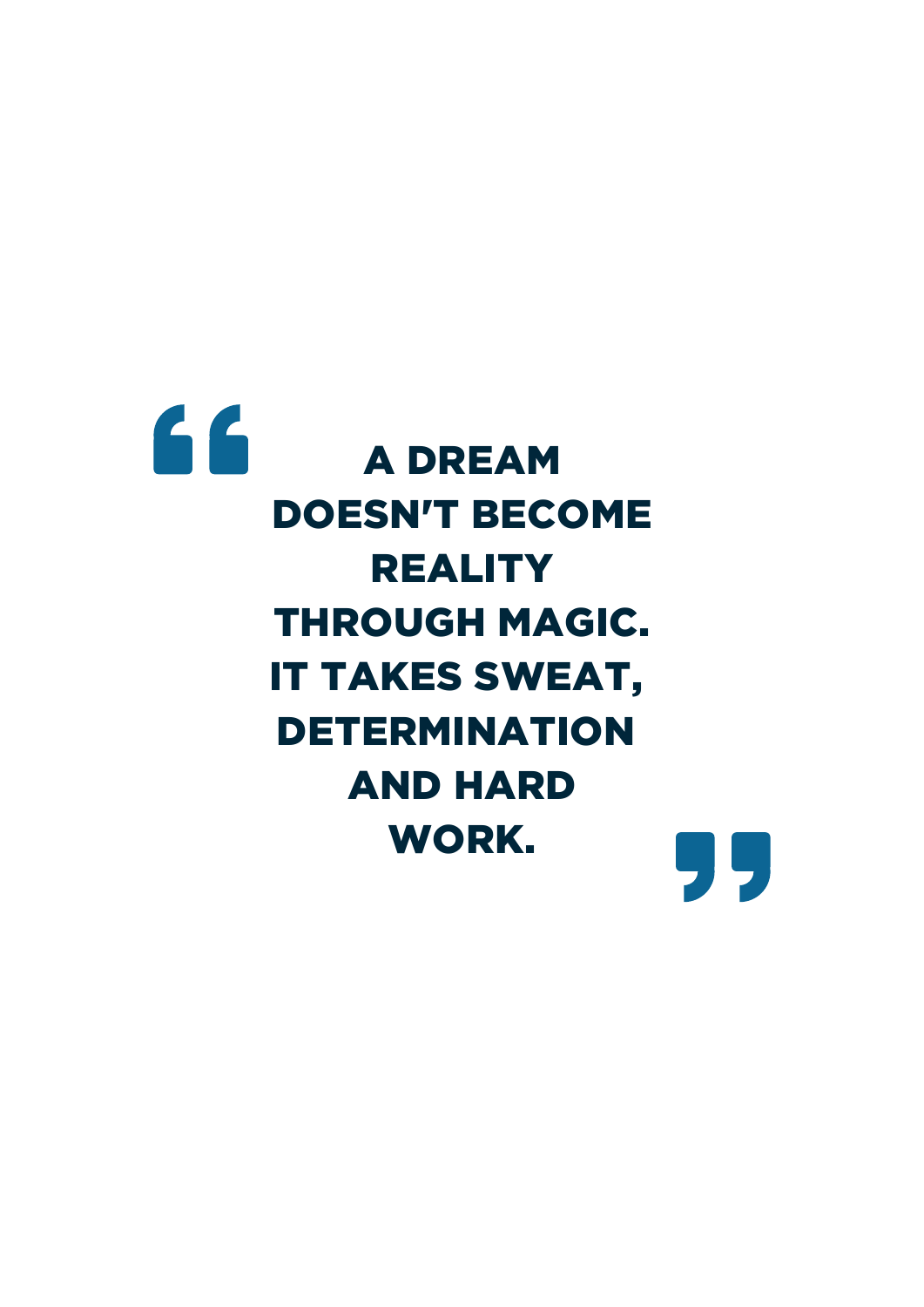# 66 A DREAM DOESN'T BECOME REALITY THROUGH MAGIC. IT TAKES SWEAT, DETERMINATION AND HARD WORK.95